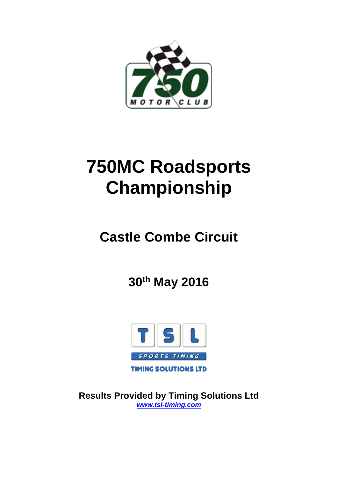

# **750MC Roadsports Championship**

# **Castle Combe Circuit**

**30th May 2016**



**Results Provided by Timing Solutions Ltd** *[www.tsl-timing.com](http://www.tsl-timing.com/)*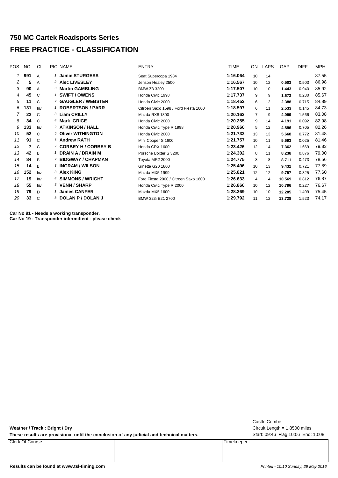#### **750 MC Cartek Roadsports Series FREE PRACTICE - CLASSIFICATION**

| <b>POS</b> | NO. | CL             | PIC NAME                      | <b>ENTRY</b>                         | TIME     | <b>ON</b> | LAPS | GAP    | <b>DIFF</b> | MPH   |
|------------|-----|----------------|-------------------------------|--------------------------------------|----------|-----------|------|--------|-------------|-------|
| 1          | 991 | $\overline{A}$ | 1 Jamie STURGESS              | Seat Supercopa 1984                  | 1:16.064 | 10        | 14   |        |             | 87.55 |
| 2          | 5   | A              | 2 Alec LIVESLEY               | Jenson Healey 2500                   | 1:16.567 | 10        | 12   | 0.503  | 0.503       | 86.98 |
| 3          | 90  | A              | <b>3 Martin GAMBLING</b>      | BMW Z3 3200                          | 1:17.507 | 10        | 10   | 1.443  | 0.940       | 85.92 |
| 4          | 45  | C              | <b>SWIFT / OWENS</b>          | Honda Civic 1998                     | 1:17.737 | 9         | 9    | 1.673  | 0.230       | 85.67 |
| 5          | 11  | $\mathsf{C}$   | 2 GAUGLER / WEBSTER           | Honda Civic 2000                     | 1:18.452 | 6         | 13   | 2.388  | 0.715       | 84.89 |
| 6          | 131 | Inv            | <sup>1</sup> ROBERTSON / PARR | Citroen Saxo 1598 / Ford Fiesta 1600 | 1:18.597 | 6         | 11   | 2.533  | 0.145       | 84.73 |
|            | 22  | C              | 3 Liam CRILLY                 | Mazda RX8 1300                       | 1:20.163 | 7         | 9    | 4.099  | 1.566       | 83.08 |
| 8          | 34  | $\mathsf{C}$   | 4 Mark GRICE                  | Honda Civic 2000                     | 1:20.255 | 9         | 14   | 4.191  | 0.092       | 82.98 |
| 9          | 133 | Inv            | 2 ATKINSON / HALL             | Honda Civic Type R 1998              | 1:20.960 | 5         | 12   | 4.896  | 0.705       | 82.26 |
| 10         | 52  | $\mathcal{C}$  | 5 Oliver WITHINGTON           | Honda Civic 2000                     | 1:21.732 | 13        | 13   | 5.668  | 0.772       | 81.48 |
| 11         | 91  | $\mathsf{C}$   | 6 Andrew RATH                 | Mini Cooper S 1600                   | 1:21.757 | 10        | 11   | 5.693  | 0.025       | 81.46 |
| 12         | 7   | $\mathsf{C}$   | 7 CORBEY H / CORBEY B         | Honda CRX 1600                       | 1:23.426 | 12        | 14   | 7.362  | 1.669       | 79.83 |
| 13         | 42  | B              | DRAIN A / DRAIN M             | Porsche Boxter S 3200                | 1:24.302 | 8         | 11   | 8.238  | 0.876       | 79.00 |
| 14         | 84  | B              | 2 BIDGWAY / CHAPMAN           | Toyota MR2 2000                      | 1:24.775 | 8         | 8    | 8.711  | 0.473       | 78.56 |
| 15         | 14  | B              | 3 INGRAM / WILSON             | Ginetta G20 1800                     | 1:25.496 | 10        | 13   | 9.432  | 0.721       | 77.89 |
| 16         | 152 | Inv            | 3 Alex KING                   | Mazda MX5 1999                       | 1:25.821 | 12        | 12   | 9.757  | 0.325       | 77.60 |
| 17         | 19  | Inv            | 4 SIMMONS / WRIGHT            | Ford Fiesta 2000 / Citroen Saxo 1600 | 1:26.633 | 4         | 4    | 10.569 | 0.812       | 76.87 |
| 18         | 55  | Inv            | 5 VENN / SHARP                | Honda Civic Type R 2000              | 1:26.860 | 10        | 12   | 10.796 | 0.227       | 76.67 |
| 19         | 79  | D              | <b>James CANFER</b>           | Mazda MX5 1600                       | 1:28.269 | 10        | 10   | 12.205 | 1.409       | 75.45 |
| 20         | 33  | C              | 8 DOLAN P / DOLAN J           | BMW 323i E21 2700                    | 1:29.792 | 11        | 12   | 13.728 | 1.523       | 74.17 |

**Car No 91 - Needs a working transponder.**

**Car No 19 - Transponder intermittent - please check**

**Weather / Track : Bright / Dry**

These results are provisional until the conclusion of any judicial and technical matters. Start: 09:46 Flag 10:06 End: 10:08

Clerk Of Course : Timekeeper :

Circuit Length = 1.8500 miles Castle Combe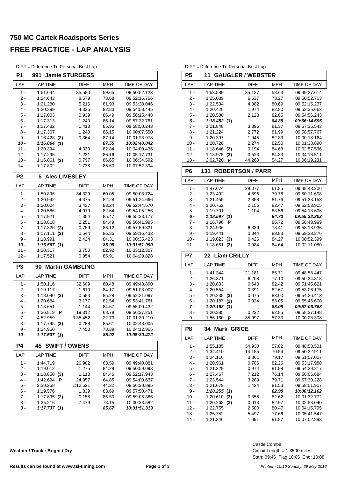#### **750 MC Cartek Roadsports Series FREE PRACTICE - LAP ANALYSIS**

DIFF = Difference To Personal Best Lap

| P <sub>1</sub> | 991                         | <b>Jamie STURGESS</b>  |                |                              |
|----------------|-----------------------------|------------------------|----------------|------------------------------|
| LAP            | <b>LAP TIME</b>             | <b>DIFF</b>            | MPH            | TIME OF DAY                  |
| 1 -            | 1:51.644                    | 35.580                 | 59.65          | 09:50:52.123                 |
| 2 -            | 1:24.643                    | 8.579                  | 78.68          | 09:52:16.766                 |
| 3 -            | 1:21.280                    | 5.216                  | 81.93          | 09:53:38.046                 |
| $4 -$          | 1:20.399                    | 4.335                  | 82.83          | 09:54:58.445                 |
| 5 -<br>6 -     | 1:17.003<br>1:17.313        | 0.939<br>1.249         | 86.49<br>86.14 | 09:56:15.448<br>09:57:32.761 |
| $7 -$          | 1:17.482                    | 1.418                  | 85.95          | 09:58:50.243                 |
| 8 -            | 1:17.307                    | 1.243                  | 86.15          | 10:00:07.550                 |
| 9 -            | 1:16.428<br>(2)             | 0.364                  | 87.14          | 10:01:23.978                 |
| 10 -           | 1:16.064 (1)                |                        | 87.55          | 10:02:40.042                 |
| 11 -           | 1:20.394                    | 4.330                  | 82.84          | 10:04:00.436                 |
| $12 -$         | 1:17.295                    | 1.231                  | 86.16          | 10:05:17.731                 |
| $13 -$         | 1:16.861<br>(3)             | 0.797                  | 86.65          | 10:06:34.592                 |
| 14 -           | 1:17.802                    | 1.738                  | 85.60          | 10:07:52.394                 |
| P <sub>2</sub> | <b>Alec LIVESLEY</b><br>5   |                        |                |                              |
| LAP            | <b>LAP TIME</b>             | DIFF                   | MPH            | TIME OF DAY                  |
| 1 -            | 1:50.896                    | 34.329                 | 60.05          | 09:50:03.724                 |
| 2 -            | 1:20.942                    | 4.375                  | 82.28          | 09:51:24.666                 |
| 3 -            | 1:20.004                    | 3.437                  | 83.24          | 09:52:44.670                 |
| $4 -$          | 1:20.586                    | 4.019                  | 82.64          | 09:54:05.256                 |
| 5 -<br>6 -     | 1:17.921<br>1:18.818        | 1.354<br>2.251         | 85.47          | 09:55:23.177                 |
| $7 -$          | 1:17.326<br>(3)             | 0.759                  | 84.49<br>86.12 | 09:56:41.995<br>09:57:59.321 |
| 8 -            | 1:17.111<br>(2)             | 0.544                  | 86.36          | 09:59:16.432                 |
| 9 -            | 1:18.991                    | 2.424                  | 84.31          | 10:00:35.423                 |
| 10 -           | 1:16.567(1)                 |                        | 86.98          | 10:01:51.990                 |
| 11 -           | 1:20.317                    | 3.750                  | 82.92          | 10:03:12.307                 |
| 12 -           | 1:17.521                    | 0.954                  | 85.91          | 10:04:29.828                 |
| P <sub>3</sub> | 90                          | <b>Martin GAMBLING</b> |                |                              |
| LAP            | <b>LAP TIME</b>             | DIFF                   | MPH            | TIME OF DAY                  |
| $1 -$          | 1:50.116                    | 32.609                 | 60.48          | 09:49:43.890                 |
| $2 -$          | 1:19.117                    | 1.610                  | 84.17          | 09:51:03.007                 |
| 3 -            | $1:18.090$ (3)              | 0.583                  | 85.28          | 09:52:21.097                 |
| $4 -$          | 1:20.684                    | 3.177                  | 82.54          | 09:53:41.781                 |
| 5 -            | 1:18.651                    | 1.144                  | 84.67          | 09:55:00.432                 |
| 6 -            | 1:36.819<br>Ρ               | 19.312                 | 68.78          | 09:56:37.251                 |
| 7 -            | 4:52.959                    | 3:35.452               | 22.73          | 10:01:30.210                 |
| 8 -            | 1:17.795<br>(2)<br>1:24.960 | 0.288                  | 85.61          | 10:02:48.005                 |
| 9 -<br>10 -    | 1:17.507(1)                 | 7.453                  | 78.39<br>85.92 | 10:04:12.965<br>10:05:30.472 |
| P4             | <b>SWIFT / OWENS</b><br>45  |                        |                |                              |
| LAP            | <b>LAP TIME</b>             | DIFF                   | MPH            | TIME OF DAY                  |
| 1 -            | 1:44.719                    | 26.982                 | 63.59          | 09:49:40.081                 |
| 2 -            | 1:19.012                    | 1.275                  | 84.29          | 09:50:59.093                 |
| 3 -            | 1:18.850<br>(3)             | 1.113                  | 84.46          | 09:52:17.943                 |
| 4 -            | 1:42.694<br>P               | 24.957                 | 64.85          | 09:54:00.637                 |
| 5 -            | 2:30.258                    | 1:12.521               | 44.32          | 09:56:30.895                 |
| 6 -            | 1:19.576                    | 1.839                  | 83.69          | 09:57:50.471                 |
| 7 -            | $1:17.895$ (2)              | 0.158                  | 85.50          | 09:59:08.366                 |
| 8 -            | 1:25.216                    | 7.479                  | 78.15          | 10:00:33.582                 |
| 9 -            | 1:17.737(1)                 |                        | 85.67          | 10:01:51.319                 |

#### DIFF = Difference To Personal Best Lap

| P <sub>5</sub> | <b>GAUGLER / WEBSTER</b><br>11 |                         |                |                              |  |  |
|----------------|--------------------------------|-------------------------|----------------|------------------------------|--|--|
| LAP            | <b>LAP TIME</b>                | <b>DIFF</b>             | MPH            | TIME OF DAY                  |  |  |
| 1 -            | 1:53.589                       | 35.137                  | 58.63          | 09:49:27.614                 |  |  |
| 2 -            | 1:25.089                       | 6.637                   | 78.27          | 09:50:52.703                 |  |  |
| 3 -            | 1:22.534                       | 4.082                   | 80.69          | 09:52:15.237                 |  |  |
| 4 -            | 1:20.426                       | 1.974                   | 82.80          | 09:53:35.663                 |  |  |
| 5 -            | 1:20.580                       | 2.128                   | 82.65          | 09:54:56.243                 |  |  |
| 6 -            | 1:18.452(1)                    |                         | 84.89          | 09:56:14.695                 |  |  |
| $7 -$          | 1:21.848                       | 3.396                   | 81.37          | 09:57:36.543                 |  |  |
| 8 -<br>$9 -$   | 1:21.224<br>1:20.397           | 2.772<br>1.945          | 81.99<br>82.83 | 09:58:57.767<br>10:00:18.164 |  |  |
| $10 -$         | 1:20.726                       | 2.274                   | 82.50          | 10:01:38.890                 |  |  |
| 11 -           | 1:18.646<br>(2)                | 0.194                   | 84.68          | 10:02:57.536                 |  |  |
| $12 -$         | 1:18.975<br>(3)                | 0.523                   | 84.33          | 10:04:16.511                 |  |  |
| $13 -$         | 2:02.720<br>P                  | 44.268                  | 54.27          | 10:06:19.231                 |  |  |
| P <sub>6</sub> | 131                            | <b>ROBERTSON / PARR</b> |                |                              |  |  |
| LAP            | <b>LAP TIME</b>                | <b>DIFF</b>             | MPH            | TIME OF DAY                  |  |  |
|                |                                |                         |                |                              |  |  |
| $1 -$<br>2 -   | 1:47.674<br>1:23.492           | 29.077<br>4.895         | 61.85<br>79.76 | 09:48:48.206<br>09:50:11.698 |  |  |
| 3 -            | 1:21.455                       | 2.858                   | 81.76          | 09:51:33.153                 |  |  |
| $4 -$          | 1:20.752                       | 2.155                   | 82.47          | 09:52:53.905                 |  |  |
| 5 -            | 1:19.701                       | 1.104                   | 83.56          | 09:54:13.606                 |  |  |
| 6 -            | 1:18.597(1)                    |                         | 84.73          | 09:55:32.203                 |  |  |
| $7 -$          | 1:16.796<br>Р                  |                         | 86.72          | 09:56:48.999                 |  |  |
| 8 -            | 1:24.936                       | 6.339                   | 78.41          | 09:58:13.935                 |  |  |
| 9 -            | 1:19.441                       | 0.844                   | 83.83          | 09:59:33.376                 |  |  |
| $10 -$         | 1:19.023<br>(3)                | 0.426                   | 84.27          | 10:00:52.399                 |  |  |
| 11 -           | 1:18.681<br>(2)                | 0.084                   | 84.64          | 10:02:11.080                 |  |  |
| P7             | <b>Liam CRILLY</b><br>22       |                         |                |                              |  |  |
| LAP            | LAP TIME                       | DIFF                    | MPH            | TIME OF DAY                  |  |  |
| 1 -            | 1:41.344                       | 21.181                  | 65.71          | 09:48:58.447                 |  |  |
| 2 -            | 1:26.371                       | 6.208                   | 77.10          | 09:50:24.818                 |  |  |
| 3 -            | 1:20.803                       | 0.640                   | 82.42          | 09:51:45.621                 |  |  |
| 4 -            | 1:20.554                       | 0.391                   | 82.67          | 09:53:06.175                 |  |  |
| 5 -            | 1:20.238<br>(3)                | 0.075                   | 83.00          | 09:54:26.413                 |  |  |
| 6 -            | 1:20.187<br>(2)                | 0.024                   | 83.05          | 09:55:46.600                 |  |  |
| 7 -            | 1:20.163<br>(1)                |                         | 83.08          | 09:57:06.763                 |  |  |
| 8 -<br>9 -     | 1:20.385<br>1:56.160<br>P      | 0.222<br>35.997         | 82.85<br>57.33 | 09:58:27.148<br>10:00:23.308 |  |  |
|                |                                |                         |                |                              |  |  |
| P8             | 34 Mark GRICE                  |                         |                |                              |  |  |
| LAP            | <b>LAP TIME</b>                | <b>DIFF</b>             | <b>MPH</b>     | TIME OF DAY                  |  |  |
| 1 -            | 1:55.185                       | 34.930                  | 57.82          | 09:48:58.501                 |  |  |
| $2 -$          | 1:34.410                       | 14.155                  | 70.54          | 09:50:32.911                 |  |  |
| 3 -<br>4 -     | 1:24.116                       | 3.861                   | 79.17<br>82.26 | 09:51:57.027                 |  |  |
| 5 -            | 1:20.961<br>1:21.229           | 0.706<br>0.974          | 81.99          | 09:53:17.988<br>09:54:39.217 |  |  |
| 6 -            | 1:27.467                       | 7.212                   | 76.14          | 09:56:06.684                 |  |  |
| 7 -            | 1:23.544                       | 3.289                   | 79.71          | 09:57:30.228                 |  |  |
| 8 -            | 1:21.679                       | 1.424                   | 81.53          | 09:58:51.907                 |  |  |
| 9 -            | 1:20.255(1)                    |                         | 82.98          | 10:00:12.162                 |  |  |
| $10 -$         | 1:20.610<br>(3)                | 0.355                   | 82.62          | 10:01:32.772                 |  |  |
| $11 -$         | $1:20.268$ (2)                 | 0.013                   | 82.97          | 10:02:53.040                 |  |  |

12 - 1:22.755 2.500 10:04:15.795 80.47 13 - 1:25.752 5.497 10:05:41.547 77.66 14 - 1:21.346 1.091 81.87 10:07:02.893

> Start: 09:46 Flag 10:06 End: 10:08 Circuit Length = 1.8500 miles Castle Combe

**Weather / Track : Bright / Dry**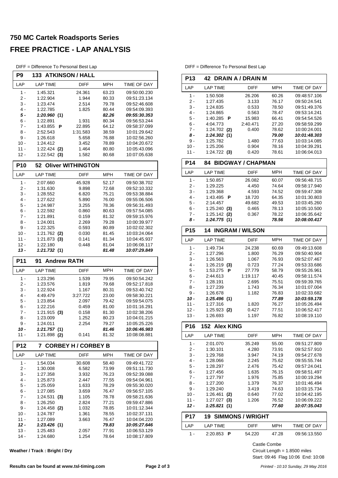## **750 MC Cartek Roadsports Series FREE PRACTICE - LAP ANALYSIS**

DIFF = Difference To Personal Best Lap

| P <sub>9</sub> | 133 ATKINSON / HALL      |                            |                |                              |
|----------------|--------------------------|----------------------------|----------------|------------------------------|
| LAP            | <b>LAP TIME</b>          | DIFF                       | <b>MPH</b>     | TIME OF DAY                  |
| $1 -$          | 1:45.321                 | 24.361                     | 63.23          | 09:50:00.230                 |
| 2 -            | 1:22.904                 | 1.944                      | 80.33          | 09:51:23.134                 |
| 3 -            | 1:23.474                 | 2.514                      | 79.78          | 09:52:46.608                 |
| 4 -            | 1:22.785                 | 1.825                      | 80.44          | 09:54:09.393                 |
| 5 -            | 1:20.960(1)              |                            | 82.26          | <i><b>09:55:30.353</b></i>   |
| 6 -            | 1:22.891                 | 1.931                      | 80.34          | 09:56:53.244                 |
| 7 -            | P<br>1:43.855            | 22.895                     | 64.12          | 09:58:37.099                 |
| 8 -<br>9 -     | 2:52.543<br>1:26.618     | 1:31.583<br>5.658          | 38.59<br>76.88 | 10:01:29.642<br>10:02:56.260 |
| $10 -$         | 1:24.412                 | 3.452                      | 78.89          | 10:04:20.672                 |
| 11 -           | $1:22.424$ (2)           | 1.464                      | 80.80          | 10:05:43.096                 |
| $12 -$         | $1:22.542$ (3)           | 1.582                      | 80.68          | 10:07:05.638                 |
| <b>P10</b>     | 52                       | <b>Oliver WITHINGTON</b>   |                |                              |
| LAP            | <b>LAP TIME</b>          | DIFF                       | <b>MPH</b>     | TIME OF DAY                  |
| $1 -$          |                          |                            |                |                              |
| $2 -$          | 2:07.660<br>1:31.630     | 45.928<br>9.898            | 52.17<br>72.68 | 09:50:38.702<br>09:52:10.332 |
| 3 -            | 1:28.552                 | 6.820                      | 75.21          | 09:53:38.884                 |
| 4 -            | 1:27.622                 | 5.890                      | 76.00          | 09:55:06.506                 |
| 5 -            | 1:24.987                 | 3.255                      | 78.36          | 09:56:31.493                 |
| 6 -            | 1:22.592                 | 0.860                      | 80.63          | 09:57:54.085                 |
| $7 -$          | 1:21.891                 | 0.159                      | 81.32          | 09:59:15.976                 |
| 8 -            | 1:24.001                 | 2.269                      | 79.28          | 10:00:39.977                 |
| 9 -            | 1:22.325                 | 0.593                      | 80.89          | 10:02:02.302                 |
| $10 -$         | $1:21.762$ (2)           | 0.030                      | 81.45          | 10:03:24.064                 |
| 11 -           | 1:21.873<br>(3)          | 0.141                      | 81.34          | 10:04:45.937                 |
| $12 -$         | 1:22.180                 | 0.448                      | 81.04          | 10:06:08.117                 |
| 13 -           | 1:21.732(1)              |                            | 81.48          | 10:07:29.849                 |
| P11            | <b>Andrew RATH</b><br>91 |                            |                |                              |
| LAP            | <b>LAP TIME</b>          | DIFF                       | <b>MPH</b>     | TIME OF DAY                  |
| $1 -$          | 1:23.296                 | 1.539                      | 79.95          | 09:50:54.242                 |
| 2 -            | 1:23.576                 | 1.819                      | 79.68          | 09:52:17.818                 |
| 3 -            | 1:22.924                 | 1.167                      | 80.31          | 09:53:40.742                 |
| 4 -<br>5 -     | 4:49.479                 | 3:27.722                   | 23.00          | 09:58:30.221                 |
| 6 -            | 1:23.854<br>1:22.216     | 2.097<br>0.459             | 79.42<br>81.00 | 09:59:54.075<br>10:01:16.291 |
| $7 -$          | $1:21.915$ (3)           | 0.158                      | 81.30          | 10:02:38.206                 |
| 8 -            | 1:23.009                 | 1.252                      | 80.23          | 10:04:01.215                 |
| 9 -            | 1:24.011                 | 2.254                      | 79.27          | 10:05:25.226                 |
| 10 -           | 1:21.757(1)              |                            | 81.46          | 10:06:46.983                 |
| $11 -$         | $1:21.898$ (2)           | 0.141                      | 81.32          | 10:08:08.881                 |
| <b>P12</b>     | 7                        | <b>CORBEY H / CORBEY B</b> |                |                              |
| LAP            | <b>LAP TIME</b>          | <b>DIFF</b>                | <b>MPH</b>     | TIME OF DAY                  |
| $1 -$          | 1:54.034                 | 30.608                     | 58.40          | 09:49:41.722                 |
| $2 -$          | 1:30.008                 | 6.582                      | 73.99          | 09:51:11.730                 |
| $3 -$          | 1:27.358                 | 3.932                      | 76.23          | 09:52:39.088                 |
| 4 -            | 1:25.873                 | 2.447                      | 77.55          | 09:54:04.961                 |
| $5 -$          | 1:25.059                 | 1.633                      | 78.29          | 09:55:30.020                 |
| 6 -            | 1:27.085                 | 3.659                      | 76.47          | 09:56:57.105                 |
| 7 -            | 1:24.531(3)              | 1.105                      | 78.78          | 09:58:21.636                 |
| 8 -            | 1:26.250                 | 2.824                      | 77.21          | 09:59:47.886                 |
| $9 -$          | 1:24.458 (2)             | 1.032                      | 78.85          | 10:01:12.344                 |
| 10 -<br>$11 -$ | 1:24.787<br>1:27.089     | 1.361<br>3.663             | 78.55<br>76.47 | 10:02:37.131<br>10:04:04.220 |
| $12 -$         | 1:23.426 (1)             |                            | 79.83          | 10:05:27.646                 |
| $13 -$         | 1:25.483                 | 2.057                      | 77.91          | 10:06:53.129                 |
| 14 -           | 1:24.680                 | 1.254                      | 78.64          | 10:08:17.809                 |

**Weather / Track : Bright / Dry**

DIFF = Difference To Personal Best Lap

| P <sub>13</sub> | 42                                 | <b>DRAIN A / DRAIN M</b> |                |                              |
|-----------------|------------------------------------|--------------------------|----------------|------------------------------|
| LAP             | <b>LAP TIME</b>                    | <b>DIFF</b>              | <b>MPH</b>     | TIME OF DAY                  |
| 1 -             | 1:50.508                           | 26.206                   | 60.26          | 09:48:57.106                 |
| $2 -$           | 1:27.435                           | 3.133                    | 76.17          | 09:50:24.541                 |
| 3 -             | 1:24.835                           | 0.533                    | 78.50          | 09:51:49.376                 |
| 4 -             | 1:24.865                           | 0.563                    | 78.47          | 09:53:14.241                 |
| 5 -             | 1:40.285<br>Р                      | 15.983                   | 66.41          | 09:54:54.526                 |
| $6 -$           | 4:04.773                           | 2:40.471                 | 27.20          | 09:58:59.299                 |
| $7 -$           | 1:24.702 (2)                       | 0.400                    | 78.62          | 10:00:24.001                 |
| 8 -             | 1:24.302(1)                        |                          | 79.00          | 10:01:48.303                 |
| 9 -             | 1:25.782                           | 1.480                    | 77.63          | 10:03:14.085                 |
| $10 -$          | 1:25.206                           | 0.904                    | 78.16          | 10:04:39.291                 |
| $11 -$          | $1:24.722$ (3)                     | 0.420                    | 78.61          | 10:06:04.013                 |
| <b>P14</b>      | <b>84 BIDGWAY / CHAPMAN</b>        |                          |                |                              |
| LAP             | <b>LAP TIME</b>                    | DIFF                     | <b>MPH</b>     | TIME OF DAY                  |
| 1 -             | 1:50.857                           | 26.082                   | 60.07          | 09:56:48.715                 |
| 2 -             | 1:29.225                           | 4.450                    | 74.64          | 09:58:17.940                 |
| 3 -             | 1:29.368                           | 4.593                    | 74.52          | 09:59:47.308                 |
| 4 -             | 1:43.495<br>Р                      | 18.720                   | 64.35          | 10:01:30.803                 |
|                 |                                    |                          |                |                              |
| 5 -<br>$6 -$    | 2:14.457<br>1:25.240               | 49.682                   | 49.53          | 10:03:45.260                 |
|                 | (3)                                | 0.465                    | 78.13          | 10:05:10.500                 |
| 7 -             | 1:25.142<br>(2)                    | 0.367                    | 78.22          | 10:06:35.642                 |
| 8 -             | 1:24.775(1)                        |                          | 78.56          | 10:08:00.417                 |
| P <sub>15</sub> | <b>14 INGRAM / WILSON</b>          |                          |                |                              |
| LAP             | <b>LAP TIME</b>                    | <b>DIFF</b>              | <b>MPH</b>     | TIME OF DAY                  |
| $1 -$           | 1:49.734                           | 24.238                   | 60.69          | 09:49:13.608                 |
| 2 -             | 1:27.296                           | 1.800                    | 76.29          | 09:50:40.904                 |
| 3 -             | 1:26.563                           | 1.067                    | 76.93          | 09:52:07.467                 |
| $4 -$           | 1:26.219<br>(3)                    | 0.723                    | 77.24          | 09:53:33.686                 |
| 5 -             | 1:53.275<br>Р                      | 27.779                   | 58.79          | 09:55:26.961                 |
| $6 -$           | 2:44.613                           | 1:19.117                 | 40.45          | 09:58:11.574                 |
| 7 -             | 1:28.191                           | 2.695                    | 75.51          | 09:59:39.765                 |
| 8 -             | 1:27.239                           | 1.743                    | 76.34          | 10:01:07.004                 |
| 9 -             | 1:26.678                           | 1.182                    | 76.83          | 10:02:33.682                 |
| $10 -$          | 1:25.496(1)                        |                          | 77.89          | 10:03:59.178                 |
| $11 -$          | 1:27.316                           | 1.820                    | 76.27          | 10:05:26.494                 |
| $12 -$          | $1:25.923$ (2)                     | 0.427                    | 77.51          | 10:06:52.417                 |
| $13 -$          | 1:26.693                           | 1.197                    | 76.82          | 10:08:19.110                 |
| P16             | 152   Alex KING                    |                          |                |                              |
| LAP             | <b>LAP TIME</b>                    | DIFF                     | MPH            | TIME OF DAY                  |
| 1 -             | 2:01.070                           | 35.249                   | 55.00          | 09:51:27.809                 |
| 2 -             | 1:30.101                           | 4.280                    | 73.91          | 09:52:57.910                 |
| 3 -             | 1:29.768                           | 3.947                    | 74.19          | 09:54:27.678                 |
| 4 -             | 1:28.066                           | 2.245                    | 75.62          | 09:55:55.744                 |
| 5 -             | 1:28.297                           | 2.476                    | 75.42          | 09:57:24.041                 |
| 6 -             | 1:27.456                           | 1.635                    | 76.15          | 09:58:51.497                 |
| $7 -$           | 1:27.797                           | 1.976                    | 75.85          | 10:00:19.294                 |
| 8 -             | 1:27.200                           | 1.379                    | 76.37          | 10:01:46.494                 |
| 9 -             | 1:29.240                           | 3.419                    | 74.63          | 10:03:15.734                 |
| 10 -            | 1:26.461                           |                          |                |                              |
|                 | (2)                                | 0.640                    | 77.02          | 10:04:42.195                 |
| 11 -<br>12 -    | 1:27.027<br>(3)<br>1:25.821<br>(1) | 1.206                    | 76.52<br>77.60 | 10:06:09.222<br>10:07:35.043 |
| P17             | 19                                 | <b>SIMMONS / WRIGHT</b>  |                |                              |
| LAP             | <b>LAP TIME</b>                    | DIFF                     | MPH            | TIME OF DAY                  |
| 1 -             | $2:20.853$ <b>P</b>                | 54.220                   | 47.28          | 09:56:13.550                 |
|                 |                                    |                          |                |                              |

Castle Combe

Start: 09:46 Flag 10:06 End: 10:08 Circuit Length = 1.8500 miles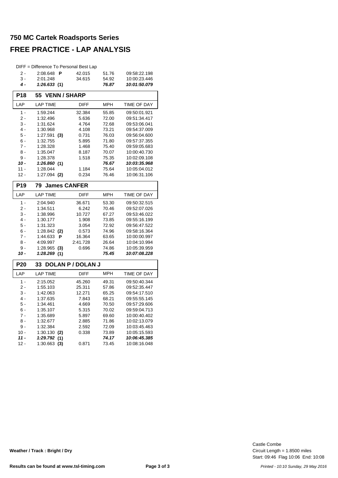## **750 MC Cartek Roadsports Series FREE PRACTICE - LAP ANALYSIS**

|            | DIFF = Difference To Personal Best Lap |                          |            |                    |
|------------|----------------------------------------|--------------------------|------------|--------------------|
| 2 -        | P<br>2:08.648                          | 42.015                   | 51.76      | 09:58:22.198       |
| $3 -$      | 2:01.248                               | 34.615                   | 54.92      | 10:00:23.446       |
| 4 -        | 1:26.633(1)                            |                          | 76.87      | 10:01:50.079       |
| <b>P18</b> | 55 VENN / SHARP                        |                          |            |                    |
| LAP        | <b>LAP TIME</b>                        | <b>DIFF</b>              | <b>MPH</b> | <b>TIME OF DAY</b> |
|            |                                        |                          |            |                    |
| $1 -$      | 1:59.244                               | 32.384                   | 55.85      | 09:50:01.921       |
| $2 -$      | 1:32.496                               | 5.636                    | 72.00      | 09:51:34.417       |
| 3 -        | 1:31.624                               | 4.764                    | 72.68      | 09:53:06.041       |
| $4 -$      | 1:30.968                               | 4.108                    | 73.21      | 09:54:37.009       |
| 5 -        | 1:27.591<br>(3)                        | 0.731                    | 76.03      | 09:56:04.600       |
| 6 -        | 1:32.755                               | 5.895                    | 71.80      | 09:57:37.355       |
| $7 -$      | 1:28.328                               | 1.468                    | 75.40      | 09:59:05.683       |
| $8 -$      | 1:35.047                               | 8.187                    | 70.07      | 10:00:40.730       |
| 9 -        | 1:28.378                               | 1.518                    | 75.35      | 10:02:09.108       |
| 10 -       | 1:26.860(1)                            |                          | 76.67      | 10:03:35.968       |
| $11 -$     | 1:28.044                               | 1.184                    | 75.64      | 10:05:04.012       |
| $12 -$     | $1:27.094$ (2)                         | 0.234                    | 76.46      | 10:06:31.106       |
| <b>P19</b> | 79<br><b>James CANFER</b>              |                          |            |                    |
| LAP        | <b>LAP TIME</b>                        | <b>DIFF</b>              | <b>MPH</b> | TIME OF DAY        |
| $1 -$      | 2:04.940                               | 36.671                   | 53.30      | 09:50:32.515       |
| $2 -$      | 1:34.511                               | 6.242                    | 70.46      | 09:52:07.026       |
| 3 -        | 1:38.996                               | 10.727                   | 67.27      | 09:53:46.022       |
| $4 -$      | 1:30.177                               | 1.908                    | 73.85      | 09:55:16.199       |
| 5 -        | 1:31.323                               | 3.054                    | 72.92      | 09:56:47.522       |
| 6 -        | 1:28.842<br>(2)                        | 0.573                    | 74.96      | 09:58:16.364       |
| 7 -        | 1:44.633<br>P                          | 16.364                   | 63.65      | 10:00:00.997       |
| 8 -        | 4:09.997                               | 2:41.728                 | 26.64      | 10:04:10.994       |
| $9 -$      | 1:28.965<br>(3)                        | 0.696                    | 74.86      | 10:05:39.959       |
| 10 -       | 1:28.269(1)                            |                          | 75.45      | 10:07:08.228       |
| <b>P20</b> | 33                                     | <b>DOLAN P / DOLAN J</b> |            |                    |
| LAP        | <b>LAP TIME</b>                        | <b>DIFF</b>              | <b>MPH</b> | <b>TIME OF DAY</b> |
| $1 -$      | 2:15.052                               | 45.260                   | 49.31      | 09:50:40.344       |
| 2 -        | 1:55.103                               | 25.311                   | 57.86      | 09:52:35.447       |
| 3 -        | 1:42.063                               | 12.271                   | 65.25      | 09:54:17.510       |
| $4 -$      | 1:37.635                               | 7.843                    | 68.21      | 09:55:55.145       |
| $5 -$      | 1:34.461                               | 4.669                    | 70.50      | 09:57:29.606       |
| $6 -$      | 1:35.107                               | 5.315                    | 70.02      | 09:59:04.713       |
| $7 -$      | 1:35.689                               | 5.897                    | 69.60      | 10:00:40.402       |
| 8 -        | 1:32.677                               | 2.885                    | 71.86      | 10:02:13.079       |
| 9 -        | 1:32.384                               | 2.592                    | 72.09      | 10:03:45.463       |
| $10 -$     | $1:30.130$ (2)                         | 0.338                    | 73.89      | 10:05:15.593       |
| 11 -       | 1:29.792<br>(1)                        |                          | 74.17      | 10:06:45.385       |
| $12 -$     | $1:30.663$ (3)                         | 0.871                    | 73.45      | 10:08:16.048       |

**Weather / Track : Bright / Dry**

Start: 09:46 Flag 10:06 End: 10:08 Circuit Length = 1.8500 miles Castle Combe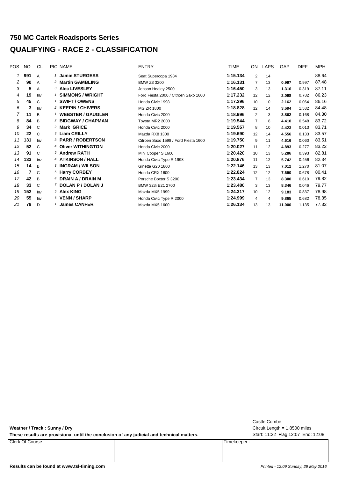#### **750 MC Cartek Roadsports Series QUALIFYING - RACE 2 - CLASSIFICATION**

| <b>POS</b> | NO. | CL.           | PIC NAME                      | <b>ENTRY</b>                         | <b>TIME</b> | ON             | LAPS | GAP    | <b>DIFF</b> | MPH   |
|------------|-----|---------------|-------------------------------|--------------------------------------|-------------|----------------|------|--------|-------------|-------|
|            | 991 | A             | <b>Jamie STURGESS</b>         | Seat Supercopa 1984                  | 1:15.134    | $\overline{2}$ | 14   |        |             | 88.64 |
| 2          | 90  | A             | 2 Martin GAMBLING             | BMW Z3 3200                          | 1:16.131    | $\overline{7}$ | 13   | 0.997  | 0.997       | 87.48 |
| 3          | 5   | A             | 3 Alec LIVESLEY               | Jenson Healey 2500                   | 1:16.450    | 3              | 13   | 1.316  | 0.319       | 87.11 |
| 4          | 19  | Inv           | <b>SIMMONS / WRIGHT</b>       | Ford Fiesta 2000 / Citroen Saxo 1600 | 1:17.232    | 12             | 12   | 2.098  | 0.782       | 86.23 |
| 5          | 45  | $\mathsf{C}$  | <b>SWIFT/OWENS</b>            | Honda Civic 1998                     | 1:17.296    | 10             | 10   | 2.162  | 0.064       | 86.16 |
| 6          | 3   | Inv           | <sup>2</sup> KEEPIN / CHIVERS | <b>MG ZR 1800</b>                    | 1:18.828    | 12             | 14   | 3.694  | 1.532       | 84.48 |
| 7          | 11  | B             | <b>WEBSTER / GAUGLER</b>      | Honda Civic 2000                     | 1:18.996    | $\overline{2}$ | 3    | 3.862  | 0.168       | 84.30 |
| 8          | 84  | B             | 2 BIDGWAY / CHAPMAN           | Toyota MR2 2000                      | 1:19.544    | $\overline{7}$ | 8    | 4.410  | 0.548       | 83.72 |
| 9          | 34  | $\mathsf{C}$  | <sup>2</sup> Mark GRICE       | Honda Civic 2000                     | 1:19.557    | 8              | 10   | 4.423  | 0.013       | 83.71 |
| 10         | 22  | $\mathcal{C}$ | 3 Liam CRILLY                 | Mazda RX8 1300                       | 1:19.690    | 12             | 14   | 4.556  | 0.133       | 83.57 |
| 11         | 131 | Inv           | <b>3 PARR / ROBERTSON</b>     | Citroen Saxo 1598 / Ford Fiesta 1600 | 1:19.750    | 9              | 11   | 4.616  | 0.060       | 83.51 |
| 12         | 52  | C             | 4 Oliver WITHINGTON           | Honda Civic 2000                     | 1:20.027    | 11             | 12   | 4.893  | 0.277       | 83.22 |
| 13         | 91  | $\mathsf{C}$  | 5 Andrew RATH                 | Mini Cooper S 1600                   | 1:20.420    | 10             | 13   | 5.286  | 0.393       | 82.81 |
| 14         | 133 | Inv           | 4 ATKINSON / HALL             | Honda Civic Type R 1998              | 1:20.876    | 11             | 12   | 5.742  | 0.456       | 82.34 |
| 15         | 14  | B             | 3 INGRAM / WILSON             | Ginetta G20 1800                     | 1:22.146    | 13             | 13   | 7.012  | 1.270       | 81.07 |
| 16         | 7   | $\mathsf{C}$  | 6 Harry CORBEY                | Honda CRX 1600                       | 1:22.824    | 12             | 12   | 7.690  | 0.678       | 80.41 |
| 17         | 42  | B             | 4 DRAIN A / DRAIN M           | Porsche Boxter S 3200                | 1:23.434    | $\overline{7}$ | 13   | 8.300  | 0.610       | 79.82 |
| 18         | 33  | $\mathcal{C}$ | 7 DOLAN P / DOLAN J           | BMW 323i E21 2700                    | 1:23.480    | 3              | 13   | 8.346  | 0.046       | 79.77 |
| 19         | 152 | Inv           | 5 Alex KING                   | Mazda MX5 1999                       | 1:24.317    | 10             | 12   | 9.183  | 0.837       | 78.98 |
| 20         | 55  | Inv           | 6 VENN / SHARP                | Honda Civic Type R 2000              | 1:24.999    | 4              | 4    | 9.865  | 0.682       | 78.35 |
| 21         | 79  | D             | <b>James CANFER</b>           | Mazda MX5 1600                       | 1:26.134    | 13             | 13   | 11.000 | 1.135       | 77.32 |

**Weather / Track : Sunny / Dry**

These results are provisional until the conclusion of any judicial and technical matters. Start: 11:22 Flag 12:07 End: 12:08

Clerk Of Course : Timekeeper :

Circuit Length = 1.8500 miles Castle Combe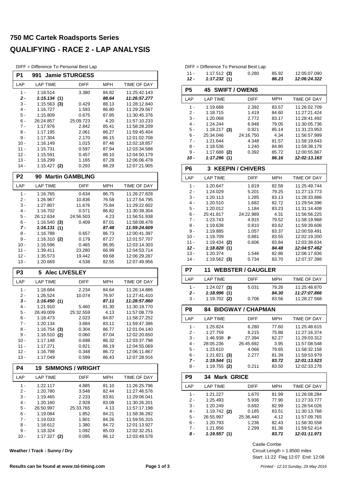## **750 MC Cartek Roadsports Series QUALIFYING - RACE 2 - LAP ANALYSIS**

DIFF = Difference To Personal Best Lap

| P <sub>1</sub>        | 991                       | <b>Jamie STURGESS</b>   |                |                              |
|-----------------------|---------------------------|-------------------------|----------------|------------------------------|
| LAP                   | <b>LAP TIME</b>           | <b>DIFF</b>             | MPH            | TIME OF DAY                  |
| 1 -<br>$\mathbf{2}$ - | 1:18.514<br>1:15.134(1)   | 3.380                   | 84.82<br>88.64 | 11:25:42.143<br>11:26:57.277 |
| 3 -                   | $1:15.563$ (3)            | 0.429                   | 88.13          | 11:28:12.840                 |
| 4 -                   | 1:16.727                  | 1.593                   | 86.80          | 11:29:29.567                 |
| 5 -                   | 1:15.809                  | 0.675                   | 87.85          | 11:30:45.376                 |
| 6 -                   | 26:24.857                 | 25:09.723               | 4.20           | 11:57:10.233                 |
| 7 -                   | 1:17.976                  | 2.842                   | 85.41          | 11:58:28.209                 |
| 8 -                   | 1:17.195                  | 2.061                   | 86.27          | 11:59:45.404                 |
| 9 -                   | 1:17.304                  | 2.170                   | 86.15          | 12:01:02.708                 |
| $10 -$                | 1:16.149                  | 1.015                   | 87.46          | 12:02:18.857                 |
| 11 -                  | 1:15.731                  | 0.597                   | 87.94          | 12:03:34.588                 |
| $12 -$<br>$13 -$      | 1:15.591<br>1:16.299      | 0.457                   | 88.10<br>87.28 | 12:04:50.179<br>12:06:06.478 |
| $14 -$                | 1:15.427 (2)              | 1.165<br>0.293          | 88.29          | 12:07:21.905                 |
|                       |                           |                         |                |                              |
| P <sub>2</sub>        | 90                        | <b>Martin GAMBLING</b>  |                |                              |
| LAP                   | <b>LAP TIME</b>           | <b>DIFF</b>             | <b>MPH</b>     | <b>TIME OF DAY</b>           |
| 1 -<br>2 -            | 1:16.765                  | 0.634                   | 86.75          | 11:26:27.828<br>11:27:54.795 |
| 3 -                   | 1:26.967<br>1:27.807      | 10.836<br>11.676        | 76.58<br>75.84 | 11:29:22.602                 |
| 4 -                   | 1:16.702                  | 0.571                   | 86.82          | 11:30:39.304                 |
| $5 -$                 | 26:12.634                 | 24:56.503               | 4.23           | 11:56:51.938                 |
| 6 -                   | 1:16.540<br>(3)           | 0.409                   | 87.01          | 11:58:08.478                 |
| 7 -                   | 1:16.131<br>(1)           |                         | 87.48          | 11:59:24.609                 |
| 8 -                   | 1:16.788                  | 0.657                   | 86.73          | 12:00:41.397                 |
| 9 -                   | $1:16.310$ (2)            | 0.179                   | 87.27          | 12:01:57.707                 |
| $10 -$                | 1:16.596                  | 0.465                   | 86.95          | 12:03:14.303                 |
| 11 -                  | 1:39.411                  | 23.280                  | 66.99          | 12:04:53.714                 |
| $12 -$                | 1:35.573                  | 19.442                  | 69.68          | 12:06:29.287                 |
| $13 -$                | 1:20.669                  | 4.538                   | 82.55          | 12:07:49.956                 |
| P <sub>3</sub>        | <b>Alec LIVESLEY</b><br>5 |                         |                |                              |
| LAP                   | <b>LAP TIME</b>           | DIFF                    | MPH            | TIME OF DAY                  |
| 1 -                   | 1:18.684                  | 2.234                   | 84.64          | 11:26:14.886                 |
| 2 -                   | 1:26.524                  | 10.074                  | 76.97          | 11:27:41.410                 |
| 3 -                   | 1:16.450(1)               |                         | 87.11          | 11:28:57.860                 |
| 4 -                   | 1:21.910                  | 5.460                   | 81.30          | 11:30:19.770                 |
| 5 -<br>$6 -$          | 26:49.009<br>1:18.473     | 25:32.559               | 4.13           | 11:57:08.779                 |
| $7 \cdot$             | 1:20.134                  | 2.023<br>3.684          | 84.87<br>83.11 | 11:58:27.252<br>11:59:47.386 |
| 8 -                   | 1:16.754(3)               | 0.304                   | 86.77          | 12:01:04.140                 |
| $9 -$                 | $1:16.510$ (2)            | 0.060                   | 87.04          | 12:02:20.650                 |
| $10 -$                | 1:17.148                  | 0.698                   | 86.32          | 12:03:37.798                 |
| $11 -$                | 1:17.271                  | 0.821                   | 86.19          | 12:04:55.069                 |
| 12 -                  | 1:16.798                  | 0.348                   | 86.72          | 12:06:11.867                 |
| 13 -                  | 1:17.049                  | 0.599                   | 86.43          | 12:07:28.916                 |
| <b>P4</b>             | 19                        | <b>SIMMONS / WRIGHT</b> |                |                              |
| LAP                   | <b>LAP TIME</b>           | <b>DIFF</b>             | <b>MPH</b>     | TIME OF DAY                  |
| 1 -                   | 1:22.117                  | 4.885                   | 81.10          | 11:26:25.796                 |
| $2 -$                 | 1:20.780                  | 3.548                   | 82.44          | 11:27:46.576                 |
| 3 -                   | 1:19.465                  | 2.233                   | 83.81          | 11:29:06.041                 |
| 4 -                   | 1:20.160                  | 2.928                   | 83.08          | 11:30:26.201                 |
| $5 -$                 | 26:50.997                 | 25:33.765               | 4.13           | 11:57:17.198                 |
| 6 -                   | 1:19.084                  | 1.852                   | 84.21          | 11:58:36.282                 |
| $7 -$                 | 1:19.033                  | 1.801                   | 84.26          | 11:59:55.315                 |
| 8 -<br>9 -            | 1:18.612<br>1:18.324      | 1.380                   | 84.72<br>85.03 | 12:01:13.927                 |
| 10 -                  | $1:17.327$ (2)            | 1.092<br>0.095          | 86.12          | 12:02:32.251<br>12:03:49.578 |
|                       |                           |                         |                |                              |

**Weather / Track : Sunny / Dry**

|        | DIFF = Difference To Personal Best Lap |       |       |              |
|--------|----------------------------------------|-------|-------|--------------|
| $11 -$ | $1:17.512$ (3)                         | 0.280 | 85.92 | 12:05:07.090 |
| - 12 - | 1:17.232(1)                            |       | 86.23 | 12:06:24.322 |

| P5    | <b>45 SWIFT / OWENS</b> |             |            |                    |
|-------|-------------------------|-------------|------------|--------------------|
| LAP   | <b>LAP TIME</b>         | <b>DIFF</b> | <b>MPH</b> | <b>TIME OF DAY</b> |
| 1 -   | 1:19.688                | 2.392       | 83.57      | 11:26:02.709       |
| 2.    | 1:18.715                | 1.419       | 84.60      | 11:27:21.424       |
| $3 -$ | 1:20.068                | 2.772       | 83.17      | 11:28:41.492       |
| $4 -$ | 1:24.244                | 6.948       | 79.05      | 11:30:05.736       |
| $5 -$ | 1:18.217(3)             | 0.921       | 85.14      | 11:31:23.953       |
| $6 -$ | 25:34.046               | 24:16.750   | 4.34       | 11:56:57.999       |
| $7 -$ | 1:21.644                | 4.348       | 81.57      | 11:58:19.643       |
| 8 -   | 1:18.536                | 1.240       | 84.80      | 11:59:38.179       |
| 9 -   | 1:17.688<br>(2)         | 0.392       | 85.72      | 12:00:55.867       |
| 10 -  | 1:17.296<br>(1)         |             | 86.16      | 12:02:13.163       |

| P6     |                 | <b>3 KEEPIN/CHIVERS</b> |            |              |
|--------|-----------------|-------------------------|------------|--------------|
| LAP    | <b>LAP TIME</b> | <b>DIFF</b>             | <b>MPH</b> | TIME OF DAY  |
| 1 -    | 1:20.647        | 1.819                   | 82.58      | 11:25:49.744 |
| $2 -$  | 1:24.029        | 5.201                   | 79.25      | 11:27:13.773 |
| $3 -$  | 1:20.113        | 1.285                   | 83.13      | 11:28:33.886 |
| 4 -    | 1:20.510        | 1.682                   | 82.72      | 11:29:54.396 |
| 5 -    | 1:20.012        | 1.184                   | 83.23      | 11:31:14.408 |
| 6 -    | 25:41.817       | 24:22.989               | 4.31       | 11:56:56.225 |
| 7 -    | 1:23.743        | 4.915                   | 79.52      | 11.58.19.968 |
| 8 -    | 1:19.638        | 0.810                   | 83.62      | 11:59:39.606 |
| 9 -    | 1:19.885        | 1.057                   | 83.37      | 12:00:59.491 |
| $10 -$ | 1:19.709        | 0.881                   | 83.55      | 12:02:19.200 |
| 11 -   | $1:19.434$ (2)  | 0.606                   | 83.84      | 12:03:38.634 |
| $12 -$ | 1:18.828(1)     |                         | 84.48      | 12:04:57.462 |
| $13 -$ | 1:20.374        | 1.546                   | 82.86      | 12:06:17.836 |
| 14 -   | $1:19.562$ (3)  | 0.734                   | 83.70      | 12:07:37.398 |
| דה     | A A             | WFBCTFB / GAUGLEB       |            |              |

| P7                    | 11 WEBSTER / GAUGLER                            |                |                         |                                              |  |  |  |  |  |
|-----------------------|-------------------------------------------------|----------------|-------------------------|----------------------------------------------|--|--|--|--|--|
| I AP                  | LAP TIME                                        | <b>DIFF</b>    | MPH                     | <b>TIME OF DAY</b>                           |  |  |  |  |  |
| 1 -<br>$2 -$<br>$3 -$ | $1:24.027$ (3)<br>1:18.996(1)<br>$1:19.702$ (2) | 5.031<br>0.706 | 79.26<br>84.30<br>83.56 | 11:25:48.870<br>11:27:07.866<br>11:28:27.568 |  |  |  |  |  |

| P8    | <b>84 BIDGWAY / CHAPMAN</b> |             |            |                    |  |  |  |  |  |  |  |
|-------|-----------------------------|-------------|------------|--------------------|--|--|--|--|--|--|--|
| LAP   | LAP TIME                    | <b>DIFF</b> | <b>MPH</b> | <b>TIME OF DAY</b> |  |  |  |  |  |  |  |
| 1 -   | 1:25.824                    | 6.280       | 77.60      | 11:25:48.615       |  |  |  |  |  |  |  |
| 2 -   | 1:27.759                    | 8.215       | 75.88      | 11:27:16.374       |  |  |  |  |  |  |  |
| $3 -$ | 1:46.938<br>P               | 27.394      | 62.27      | 11:29:03.312       |  |  |  |  |  |  |  |
| 4 -   | 28:05.236                   | 26:45.692   | 3.95       | 11:57:08.548       |  |  |  |  |  |  |  |
| $5 -$ | 1:23.610                    | 4.066       | 79.65      | 11:58:32.158       |  |  |  |  |  |  |  |
| $6 -$ | $1:21.821$ (3)              | 2.277       | 81.39      | 11:59:53.979       |  |  |  |  |  |  |  |
| $7 -$ | 1:19.544(1)                 |             | 83.72      | 12:01:13.523       |  |  |  |  |  |  |  |
| 8 -   | 1:19.755<br>(2)             | 0.211       | 83.50      | 12:02:33.278       |  |  |  |  |  |  |  |

| P9    | <b>Mark GRICE</b><br>34 |             |            |              |  |  |  |  |  |  |  |  |  |
|-------|-------------------------|-------------|------------|--------------|--|--|--|--|--|--|--|--|--|
| LAP   | <b>LAP TIME</b>         | <b>DIFF</b> | <b>MPH</b> | TIME OF DAY  |  |  |  |  |  |  |  |  |  |
| 1 -   | 1:21.227                | 1.670       | 81.99      | 11:26:08.284 |  |  |  |  |  |  |  |  |  |
| 2 -   | 1:25.493                | 5.936       | 77.90      | 11:27:33.777 |  |  |  |  |  |  |  |  |  |
| $3 -$ | 1:20.249                | 0.692       | 82.99      | 11:28:54.026 |  |  |  |  |  |  |  |  |  |
| 4 -   | $1:19.742$ (2)          | 0.185       | 83.51      | 11:30:13.768 |  |  |  |  |  |  |  |  |  |
| 5 -   | 26:55.997               | 25:36.440   | 4.12       | 11:57:09.765 |  |  |  |  |  |  |  |  |  |
| 6 -   | 1:20.793                | 1.236       | 82.43      | 11:58:30.558 |  |  |  |  |  |  |  |  |  |
| 7 -   | 1:21.856                | 2.299       | 81.36      | 11:59:52.414 |  |  |  |  |  |  |  |  |  |
| 8 -   | 1:19.557(1)             |             | 83.71      | 12:01:11.971 |  |  |  |  |  |  |  |  |  |

Castle Combe

Start: 11:22 Flag 12:07 End: 12:08 Circuit Length = 1.8500 miles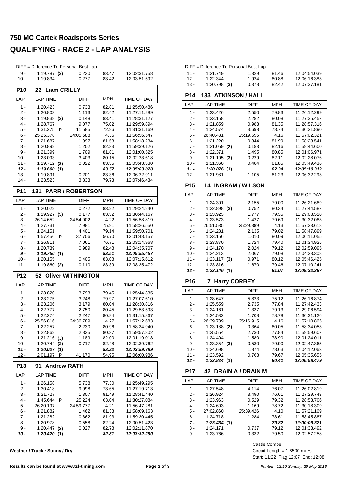## **750 MC Cartek Roadsports Series QUALIFYING - RACE 2 - LAP ANALYSIS**

|                                       | DIFF = Difference To Personal Best Lap         |                          |                       |                    |  |  |  |  |  |  |  |
|---------------------------------------|------------------------------------------------|--------------------------|-----------------------|--------------------|--|--|--|--|--|--|--|
| 9 -                                   | $1:19.787$ (3)                                 | 0.230                    | 83.47                 | 12:02:31.758       |  |  |  |  |  |  |  |
| $10 -$                                | 1:19.834                                       | 0.277                    | 83.42                 | 12:03:51.592       |  |  |  |  |  |  |  |
| <b>P10</b>                            | <b>Liam CRILLY</b><br>22                       |                          |                       |                    |  |  |  |  |  |  |  |
| LAP                                   | <b>LAP TIME</b>                                | <b>DIFF</b>              | MPH                   | <b>TIME OF DAY</b> |  |  |  |  |  |  |  |
| $1 -$                                 | 1:20.423                                       | 0.733                    | 82.81                 | 11:25:50.486       |  |  |  |  |  |  |  |
| 2 -                                   | 1:20.803                                       | 1.113                    | 82.42                 | 11:27:11.289       |  |  |  |  |  |  |  |
| 3 -                                   | $1:19.838$ (3)                                 | 0.148                    | 83.41                 | 11:28:31.127       |  |  |  |  |  |  |  |
| 4 -                                   | 1:28.767                                       | 9.077                    | 75.02                 | 11:29:59.894       |  |  |  |  |  |  |  |
| $5 -$                                 | 1:31.275<br>Р                                  | 11.585                   | 72.96                 | 11:31:31.169       |  |  |  |  |  |  |  |
| 6 -                                   | 25:25.378                                      | 24:05.688                | 4.36                  | 11:56:56.547       |  |  |  |  |  |  |  |
| $7 -$                                 | 1:21.687                                       | 1.997                    | 81.53                 | 11:58:18.234       |  |  |  |  |  |  |  |
| 8 -                                   | 1:20.892                                       | 1.202                    | 82.33                 | 11:59:39.126       |  |  |  |  |  |  |  |
| 9 -                                   | 1:21.399                                       | 1.709                    | 81.81                 | 12:01:00.525       |  |  |  |  |  |  |  |
| $10 -$                                | 1:23.093                                       | 3.403                    | 80.15                 | 12:02:23.618       |  |  |  |  |  |  |  |
| 11 -                                  | $1:19.712$ (2)                                 | 0.022                    | 83.55                 | 12:03:43.330       |  |  |  |  |  |  |  |
| $12 -$                                | 1:19.690(1)                                    |                          | 83.57                 | 12:05:03.020       |  |  |  |  |  |  |  |
| $13 -$                                | 1:19.891                                       | 0.201                    | 83.36                 | 12:06:22.911       |  |  |  |  |  |  |  |
| $14 -$                                | 1:23.523                                       | 3.833                    | 79.73                 | 12:07:46.434       |  |  |  |  |  |  |  |
| P11<br>131<br><b>PARR / ROBERTSON</b> |                                                |                          |                       |                    |  |  |  |  |  |  |  |
| LAP                                   | <b>LAP TIME</b>                                | <b>DIFF</b>              | MPH                   | TIME OF DAY        |  |  |  |  |  |  |  |
| 1 -                                   | 1:20.022                                       | 0.272                    | 83.22                 | 11:29:24.240       |  |  |  |  |  |  |  |
| 2 -                                   | $1:19.927$ (3)                                 | 0.177                    | 83.32                 | 11:30:44.167       |  |  |  |  |  |  |  |
| 3 -                                   | 26:14.652                                      | 24:54.902                | 4.22                  | 11:56:58.819       |  |  |  |  |  |  |  |
| 4 -                                   | 1:27.731                                       | 7.981                    | 75.91                 | 11:58:26.550       |  |  |  |  |  |  |  |
| 5 -                                   | 1:24.151                                       | 4.401                    | 79.14                 | 11:59:50.701       |  |  |  |  |  |  |  |
| 6 -                                   | 1:57.456<br>P                                  | 37.706                   | 56.70                 | 12:01:48.157       |  |  |  |  |  |  |  |
| $7 -$                                 | 1:26.811                                       | 7.061                    | 76.71                 | 12:03:14.968       |  |  |  |  |  |  |  |
| 8 -                                   | 1:20.739                                       | 0.989                    | 82.48                 | 12:04:35.707       |  |  |  |  |  |  |  |
| 9 -                                   | 1:19.750(1)                                    |                          | 83.51                 | 12:05:55.457       |  |  |  |  |  |  |  |
| $10 -$                                | 1:20.155                                       | 0.405                    | 83.08<br>12:07:15.612 |                    |  |  |  |  |  |  |  |
| 11 -                                  | 1:19.860 (2)<br>0.110<br>83.39<br>12:08:35.472 |                          |                       |                    |  |  |  |  |  |  |  |
| <b>P12</b>                            | 52                                             | <b>Oliver WITHINGTON</b> |                       |                    |  |  |  |  |  |  |  |
| LAP                                   | <b>LAP TIME</b>                                | <b>DIFF</b>              | MPH                   | TIME OF DAY        |  |  |  |  |  |  |  |
| 1 -                                   | 1:23.820                                       | 3.793                    | 79.45                 | 11:25:44.335       |  |  |  |  |  |  |  |
| 2 -                                   | 1:23.275                                       | 3.248                    | 79.97                 | 11:27:07.610       |  |  |  |  |  |  |  |
| 3 -                                   | 1:23.206                                       | 3.179                    | 80.04                 | 11:28:30.816       |  |  |  |  |  |  |  |
| $4 -$                                 | 1:22.777                                       | 2.750                    | 80.45                 | 11:29:53.593       |  |  |  |  |  |  |  |
| 5 -                                   | 1:22.274                                       | 2.247                    | 80.94                 | 11:31:15.867       |  |  |  |  |  |  |  |
| $6 -$                                 | 25:56.816                                      | 24:36.789                | 4.27                  | 11:57:12.683       |  |  |  |  |  |  |  |
| 7 -                                   | 1:22.257                                       | 2.230                    | 80.96                 | 11:58:34.940       |  |  |  |  |  |  |  |
| $8 -$                                 | 1:22.862                                       | 2.835                    | 80.37                 | 11:59:57.802       |  |  |  |  |  |  |  |
| $9 -$                                 | $1:21.216$ (3)                                 | 1.189                    | 82.00                 | 12:01:19.018       |  |  |  |  |  |  |  |
| $10 -$                                | 1:20.744<br>(2)                                | 0.717                    | 82.48                 | 12:02:39.762       |  |  |  |  |  |  |  |
| $11 -$                                | 1:20.027(1)                                    |                          | 83.22                 | 12:03:59.789       |  |  |  |  |  |  |  |
| 12 -                                  | 2:01.197 P                                     | 41.170                   | 54.95                 | 12:06:00.986       |  |  |  |  |  |  |  |
| <b>P13</b>                            | <b>Andrew RATH</b><br>91                       |                          |                       |                    |  |  |  |  |  |  |  |
| LAP                                   | <b>LAP TIME</b>                                | <b>DIFF</b>              | MPH                   | TIME OF DAY        |  |  |  |  |  |  |  |
| 1 -                                   | 1:26.158                                       | 5.738                    | 77.30                 | 11:25:49.295       |  |  |  |  |  |  |  |
| 2 -                                   | 1:30.418                                       | 9.998                    | 73.65                 | 11:27:19.713       |  |  |  |  |  |  |  |
| 3 -                                   | 1:21.727                                       | 1.307                    | 81.49                 | 11:28:41.440       |  |  |  |  |  |  |  |
| 4 -                                   | 1:45.644<br>P                                  | 25.224                   | 63.04                 | 11:30:27.084       |  |  |  |  |  |  |  |
| 5 -                                   | 26:20.197                                      | 24:59.777                | 4.21                  | 11:56:47.281       |  |  |  |  |  |  |  |
| 6 -                                   | 1:21.882                                       | 1.462                    | 81.33                 | 11:58:09.163       |  |  |  |  |  |  |  |
| $7 -$                                 | 1:21.282                                       | 0.862                    | 81.93                 | 11:59:30.445       |  |  |  |  |  |  |  |
| 8 -                                   | 1:20.978                                       | 0.558                    | 82.24                 | 12:00:51.423       |  |  |  |  |  |  |  |
| $9 -$<br>10 -                         | $1:20.447$ (2)                                 | 0.027                    | 82.78                 | 12:02:11.870       |  |  |  |  |  |  |  |
|                                       | 1:20.420(1)                                    |                          | 82.81                 | 12:03:32.290       |  |  |  |  |  |  |  |

**Weather / Track : Sunny / Dry**

| DIFF = Difference To Personal Best Lap |                |       |       |              |  |  |  |  |  |  |
|----------------------------------------|----------------|-------|-------|--------------|--|--|--|--|--|--|
| 11 -                                   | 1:21.749       | 1.329 | 81.46 | 12:04:54.039 |  |  |  |  |  |  |
| $12 -$                                 | 1:22.344       | 1.924 | 80.88 | 12:06:16.383 |  |  |  |  |  |  |
| $13 -$                                 | $1:20.798$ (3) | 0.378 | 82.42 | 12:07:37.181 |  |  |  |  |  |  |

| <b>P14</b> | 133 ATKINSON / HALL |             |            |              |
|------------|---------------------|-------------|------------|--------------|
| LAP        | <b>LAP TIME</b>     | <b>DIFF</b> | <b>MPH</b> | TIME OF DAY  |
| 1 -        | 1:23.426            | 2.550       | 79.83      | 11.26.12.299 |
| $2 -$      | 1:23.158            | 2.282       | 80.08      | 11:27:35.457 |
| $3 -$      | 1:21.859            | 0.983       | 81.35      | 11:28:57.316 |
| $4 -$      | 1:24.574            | 3.698       | 78.74      | 11:30:21.890 |
| $5 -$      | 26:40.431           | 25:19.555   | 4.16       | 11:57:02.321 |
| $6 -$      | 1:21.220            | 0.344       | 81.99      | 11:58:23.541 |
| $7 -$      | 1:21.059<br>(2)     | 0.183       | 82.16      | 11:59:44.600 |
| $8 -$      | 1:22.371            | 1.495       | 80.85      | 12:01:06.971 |
| $9 -$      | 1:21.105<br>(3)     | 0.229       | 82.11      | 12:02:28.076 |
| $10 -$     | 1:21.360            | 0.484       | 81.85      | 12:03:49.436 |
| 11 -       | 1:20.876(1)         |             | 82.34      | 12:05:10.312 |
| 12 -       | 1:21.981            | 1.105       | 81.23      | 12:06:32.293 |

| <b>P15</b> | 14              | <b>INGRAM / WILSON</b> |            |              |
|------------|-----------------|------------------------|------------|--------------|
| LAP        | <b>LAP TIME</b> | <b>DIFF</b>            | <b>MPH</b> | TIME OF DAY  |
| 1 -        | 1:24.301        | 2.155                  | 79.00      | 11.26.21.689 |
| $2 -$      | 1:22.898<br>(2) | 0.752                  | 80.34      | 11:27:44.587 |
| $3 -$      | 1:23.923        | 1.777                  | 79.35      | 11:29:08.510 |
| 4 -        | 1:23.573        | 1.427                  | 79.69      | 11:30:32.083 |
| $5 -$      | 26:51.535       | 25:29.389              | 4.13       | 11:57:23.618 |
| 6 -        | 1:24.281        | 2.135                  | 79.02      | 11:58:47.899 |
| $7 -$      | 1:23.156        | 1.010                  | 80.09      | 12:00:11.055 |
| $8 -$      | 1:23.870        | 1.724                  | 79.40      | 12:01:34.925 |
| $9 -$      | 1:24.170        | 2.024                  | 79.12      | 12:02:59.095 |
| $10 -$     | 1:24.213        | 2.067                  | 79.08      | 12:04:23.308 |
| 11 -       | 1:23.117<br>(3) | 0.971                  | 80.12      | 12:05:46.425 |
| $12 -$     | 1:23.816        | 1.670                  | 79.46      | 12:07:10.241 |
| $13 -$     | 1:22.146(1)     |                        | 81.07      | 12:08:32.387 |

| P <sub>16</sub> | 7 Harry CORBEY  |             |            |              |  |  |  |  |  |  |  |  |
|-----------------|-----------------|-------------|------------|--------------|--|--|--|--|--|--|--|--|
| LAP             | <b>LAP TIME</b> | <b>DIFF</b> | <b>MPH</b> | TIME OF DAY  |  |  |  |  |  |  |  |  |
| 1 -             | 1:28.647        | 5.823       | 75.12      | 11:26:16.874 |  |  |  |  |  |  |  |  |
| $2 -$           | 1:25.559        | 2.735       | 77.84      | 11:27:42.433 |  |  |  |  |  |  |  |  |
| $3 -$           | 1:24.161        | 1.337       | 79.13      | 11:29:06.594 |  |  |  |  |  |  |  |  |
| $4 -$           | 1:24.532        | 1.708       | 78.78      | 11:30:31.126 |  |  |  |  |  |  |  |  |
| $5 -$           | 26:39.739       | 25:16.915   | 4.16       | 11:57:10.865 |  |  |  |  |  |  |  |  |
| $6 -$           | $1:23.188$ (2)  | 0.364       | 80.05      | 11:58:34.053 |  |  |  |  |  |  |  |  |
| $7 -$           | 1:25.554        | 2.730       | 77.84      | 11:59:59.607 |  |  |  |  |  |  |  |  |
| $8 -$           | 1:24.404        | 1.580       | 78.90      | 12:01:24.011 |  |  |  |  |  |  |  |  |
| $9 -$           | $1:23.354$ (3)  | 0.530       | 79.90      | 12:02:47.365 |  |  |  |  |  |  |  |  |
| $10 -$          | 1:24.698        | 1.874       | 78.63      | 12:04:12.063 |  |  |  |  |  |  |  |  |
| 11 -            | 1:23.592        | 0.768       | 79.67      | 12:05:35.655 |  |  |  |  |  |  |  |  |
| 12 -            | 1:22.824<br>(1) |             | 80.41      | 12:06:58.479 |  |  |  |  |  |  |  |  |

| <b>P17</b> | 42 DRAIN A / DRAIN M |           |            |              |  |  |  |  |  |  |  |  |
|------------|----------------------|-----------|------------|--------------|--|--|--|--|--|--|--|--|
| LAP        | LAP TIME             | DIFF      | <b>MPH</b> | TIME OF DAY  |  |  |  |  |  |  |  |  |
| 1 -        | 1:27.548             | 4.114     | 76.07      | 11:26:02.819 |  |  |  |  |  |  |  |  |
| $2 -$      | 1:26.924             | 3.490     | 76.61      | 11:27:29.743 |  |  |  |  |  |  |  |  |
| $3 -$      | 1.23.963             | 0.529     | 79.32      | 11:28:53.706 |  |  |  |  |  |  |  |  |
| 4 -        | 1:24.603             | 1.169     | 78.72      | 11:30:18.309 |  |  |  |  |  |  |  |  |
| $5 -$      | 27:02.860            | 25:39.426 | 4.10       | 11:57:21.169 |  |  |  |  |  |  |  |  |
| 6 -        | 1:24.718             | 1.284     | 78.61      | 11:58:45.887 |  |  |  |  |  |  |  |  |
| 7 -        | 1:23.434(1)          |           | 79.82      | 12:00:09.321 |  |  |  |  |  |  |  |  |
| 8 -        | 1:24.171             | 0.737     | 79.12      | 12:01:33.492 |  |  |  |  |  |  |  |  |
| 9 -        | 1:23.766             | 0.332     | 79.50      | 12:02:57.258 |  |  |  |  |  |  |  |  |

Castle Combe

Start: 11:22 Flag 12:07 End: 12:08 Circuit Length = 1.8500 miles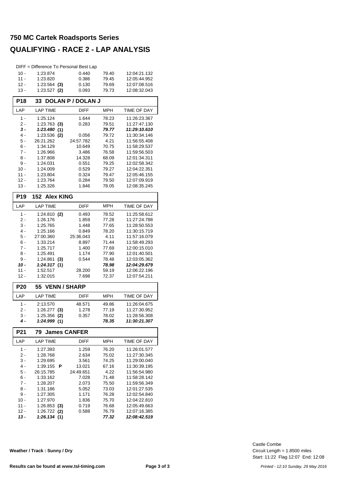### **750 MC Cartek Roadsports Series QUALIFYING - RACE 2 - LAP ANALYSIS**

| DIFF = Difference To Personal Best Lap     |                                                  |                                |                |                              |  |  |  |  |  |  |  |  |
|--------------------------------------------|--------------------------------------------------|--------------------------------|----------------|------------------------------|--|--|--|--|--|--|--|--|
| $10 -$                                     | 1:23.874                                         | 0.440                          | 79.40          | 12:04:21.132                 |  |  |  |  |  |  |  |  |
| $11 -$                                     | 1:23.820                                         | 0.386<br>79.45<br>12:05:44.952 |                |                              |  |  |  |  |  |  |  |  |
| $12 -$                                     | 1:23.564<br>(3)                                  | 0.130                          | 79.69          | 12:07:08.516                 |  |  |  |  |  |  |  |  |
| $13 -$                                     | 1:23.527<br>(2)                                  | 0.093                          | 79.73          | 12:08:32.043                 |  |  |  |  |  |  |  |  |
|                                            |                                                  |                                |                |                              |  |  |  |  |  |  |  |  |
| <b>P18</b>                                 | 33                                               | <b>DOLAN P / DOLAN J</b>       |                |                              |  |  |  |  |  |  |  |  |
| LAP                                        | <b>LAP TIME</b>                                  | DIFF                           | <b>MPH</b>     | TIME OF DAY                  |  |  |  |  |  |  |  |  |
| $1 -$                                      | 1:25.124                                         | 1.644                          | 78.23          | 11:26:23.367                 |  |  |  |  |  |  |  |  |
| 2 -                                        | $1:23.763$ (3)<br>0.283<br>79.51<br>11:27:47.130 |                                |                |                              |  |  |  |  |  |  |  |  |
| 3 -                                        | 1:23.480<br>79.77<br>11:29:10.610<br>(1)         |                                |                |                              |  |  |  |  |  |  |  |  |
| $4 -$                                      | 1:23.536<br>(2)                                  | 0.056                          | 79.72          | 11:30:34.146                 |  |  |  |  |  |  |  |  |
| 5 -                                        | 26:21.262                                        | 24:57.782                      | 4.21           | 11:56:55.408                 |  |  |  |  |  |  |  |  |
| 6 -                                        | 1:34.129                                         | 10.649                         | 70.75          | 11:58:29.537                 |  |  |  |  |  |  |  |  |
| 7 -                                        | 1:26.966                                         | 3.486                          | 76.58          | 11:59:56.503                 |  |  |  |  |  |  |  |  |
| 8 -                                        | 1:37.808                                         | 14.328                         | 68.09          | 12:01:34.311                 |  |  |  |  |  |  |  |  |
| 9 -                                        | 1:24.031                                         | 0.551                          | 79.25          | 12:02:58.342                 |  |  |  |  |  |  |  |  |
| $10 -$                                     | 1:24.009                                         | 0.529                          | 79.27          | 12:04:22.351                 |  |  |  |  |  |  |  |  |
| 11 -                                       | 1:23.804                                         | 0.324                          | 79.47          | 12:05:46.155                 |  |  |  |  |  |  |  |  |
| $12 -$                                     | 1:23.764                                         | 0.284                          | 79.50          | 12:07:09.919                 |  |  |  |  |  |  |  |  |
| $13 -$                                     | 1:25.326                                         | 1.846                          | 78.05          | 12:08:35.245                 |  |  |  |  |  |  |  |  |
| 152<br>P <sub>19</sub><br><b>Alex KING</b> |                                                  |                                |                |                              |  |  |  |  |  |  |  |  |
| LAP                                        | <b>LAP TIME</b>                                  | <b>DIFF</b>                    | <b>MPH</b>     | TIME OF DAY                  |  |  |  |  |  |  |  |  |
| $1 -$                                      | 1:24.810(2)                                      | 0.493                          | 78.52          | 11:25:58.612                 |  |  |  |  |  |  |  |  |
| 2 -                                        | 1:26.176                                         | 1.859                          | 77.28          | 11:27:24.788                 |  |  |  |  |  |  |  |  |
| 3 -                                        | 1:25.765<br>1.448<br>77.65<br>11:28:50.553       |                                |                |                              |  |  |  |  |  |  |  |  |
| 4 -                                        | 1:25.166<br>78.20<br>11:30:15.719<br>0.849       |                                |                |                              |  |  |  |  |  |  |  |  |
| $5 -$                                      | 27:00.360<br>25:36.043<br>4.11<br>11:57:16.079   |                                |                |                              |  |  |  |  |  |  |  |  |
| 6 -                                        | 1:33.214                                         | 71.44<br>8.897<br>11:58:49.293 |                |                              |  |  |  |  |  |  |  |  |
| 7 -                                        | 1:25.717                                         | 1.400                          | 77.69          | 12:00:15.010                 |  |  |  |  |  |  |  |  |
| 8 -                                        | 1:25.491                                         | 1.174                          | 77.90          | 12:01:40.501                 |  |  |  |  |  |  |  |  |
| 9 -                                        | 1:24.861<br>(3)                                  | 0.544                          | 78.48          | 12:03:05.362                 |  |  |  |  |  |  |  |  |
| $10 -$                                     | 1:24.317(1)                                      |                                | 12:04:29.679   |                              |  |  |  |  |  |  |  |  |
| 11 -                                       | 1:52.517                                         | 28.200                         | 59.19          | 12:06:22.196                 |  |  |  |  |  |  |  |  |
| $12 -$                                     | 1:32.015                                         | 7.698                          | 72.37          | 12:07:54.211                 |  |  |  |  |  |  |  |  |
| <b>P20</b>                                 | <b>VENN / SHARP</b><br>55                        |                                |                |                              |  |  |  |  |  |  |  |  |
| LAP                                        | <b>LAP TIME</b>                                  | DIFF                           | <b>MPH</b>     | TIME OF DAY                  |  |  |  |  |  |  |  |  |
| $1 -$                                      | 2:13.570                                         | 48.571                         | 49.86          | 11:26:04.675                 |  |  |  |  |  |  |  |  |
| $2 -$                                      | $1:26.277$ (3)                                   | 1.278                          | 77.19          | 11:27:30.952                 |  |  |  |  |  |  |  |  |
| 3 -                                        | 1:25.356<br>(2)                                  | 0.357                          | 78.02          | 11:28:56.308                 |  |  |  |  |  |  |  |  |
| 4 -                                        | 1:24.999 (1)                                     |                                | 78.35          | 11:30:21.307                 |  |  |  |  |  |  |  |  |
| P <sub>21</sub>                            | 79                                               | <b>James CANFER</b>            |                |                              |  |  |  |  |  |  |  |  |
| LAP                                        | <b>LAP TIME</b>                                  | DIFF                           | MPH            | TIME OF DAY                  |  |  |  |  |  |  |  |  |
| 1 -                                        | 1:27.393                                         | 1.259                          | 76.20          | 11:26:01.577                 |  |  |  |  |  |  |  |  |
| 2 -                                        | 1:28.768                                         | 2.634                          | 75.02          | 11:27:30.345                 |  |  |  |  |  |  |  |  |
| 3 -                                        | 1:29.695                                         | 3.561                          | 74.25          | 11:29:00.040                 |  |  |  |  |  |  |  |  |
| 4 -                                        | 1:39.155<br>P                                    | 13.021                         | 67.16          | 11:30:39.195                 |  |  |  |  |  |  |  |  |
| 5 -                                        | 26:15.785                                        | 24:49.651                      | 4.22           | 11:56:54.980                 |  |  |  |  |  |  |  |  |
| 6 -                                        | 1:33.162                                         | 7.028                          | 71.48          | 11:58:28.142                 |  |  |  |  |  |  |  |  |
| $7 -$                                      | 1:28.207                                         | 2.073                          | 75.50          | 11:59:56.349                 |  |  |  |  |  |  |  |  |
| 8 -                                        | 1:31.186                                         | 5.052                          | 73.03          | 12:01:27.535                 |  |  |  |  |  |  |  |  |
|                                            |                                                  | 1.171<br>76.28<br>12:02:54.840 |                |                              |  |  |  |  |  |  |  |  |
| 9 -                                        | 1:27.305                                         |                                |                |                              |  |  |  |  |  |  |  |  |
| 10 -                                       | 1:27.970                                         | 1.836                          | 75.70          | 12:04:22.810                 |  |  |  |  |  |  |  |  |
| 11 -                                       | 1:26.853(3)                                      | 0.719                          | 76.68          | 12:05:49.663                 |  |  |  |  |  |  |  |  |
| $12 -$<br>13 -                             | 1:26.722<br>(2)<br>1:26.134(1)                   | 0.588                          | 76.79<br>77.32 | 12:07:16.385<br>12:08:42.519 |  |  |  |  |  |  |  |  |

**Weather / Track : Sunny / Dry**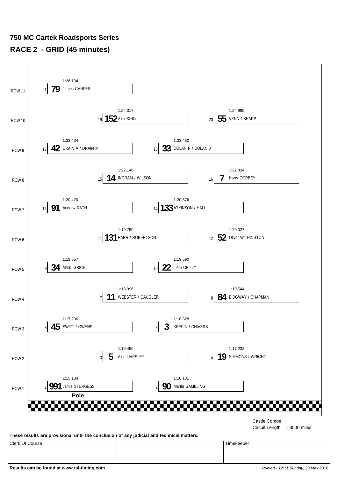#### **750 MC Cartek Roadsports Series RACE 2 - GRID (45 minutes)**



**These results are provisional until the conclusion of any judicial and technical matters.**

Clerk Of Course : Timekeeper :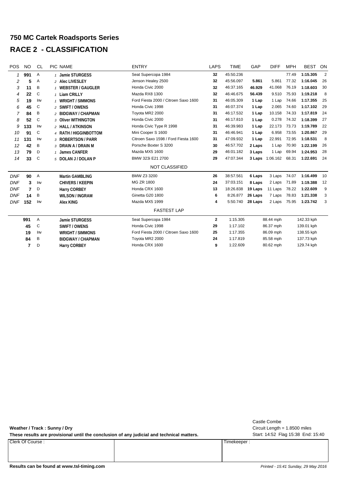## **750 MC Cartek Roadsports Series RACE 2 - CLASSIFICATION**

| <b>POS</b> | <b>NO</b>      | <b>CL</b> | PIC NAME                            | <b>ENTRY</b>                         | <b>LAPS</b>                       | <b>TIME</b> | GAP     | <b>DIFF</b> | <b>MPH</b>              | <b>BEST</b> | ON             |  |  |  |
|------------|----------------|-----------|-------------------------------------|--------------------------------------|-----------------------------------|-------------|---------|-------------|-------------------------|-------------|----------------|--|--|--|
| 1          | 991            | Α         | 1 Jamie STURGESS                    | Seat Supercopa 1984                  | 32                                | 45:50.236   |         |             | 77.49                   | 1:15.305    | $\overline{2}$ |  |  |  |
| 2          | 5              | A         | 2 Alec LIVESLEY                     | Jenson Healey 2500                   | 32                                | 45:56.097   | 5.861   | 5.861       | 77.32                   | 1:16.045    | 26             |  |  |  |
| 3          | 11             | B         | 1 WEBSTER / GAUGLER                 | Honda Civic 2000                     | 32                                | 46:37.165   | 46.929  | 41.068      | 30<br>76.19<br>1:18.603 |             |                |  |  |  |
| 4          | 22             | C         | 1 Liam CRILLY                       | Mazda RX8 1300                       | 32                                | 46:46.675   | 56.439  | 9.510       | 75.93                   | 1:19.218    | 8              |  |  |  |
| 5          | 19             | Inv       | 1 WRIGHT / SIMMONS                  | Ford Fiesta 2000 / Citroen Saxo 1600 | 31                                | 46:05.309   | 1 Lap   | 1 Lap       | 74.66                   | 1:17.355    | 25             |  |  |  |
| 6          | 45             | C         | 2 SWIFT/OWENS                       | Honda Civic 1998                     | 31                                | 46:07.374   | 1 Lap   | 2.065       | 74.60                   | 1:17.102    | 29             |  |  |  |
| 7          | 84             | B         | 2 BIDGWAY / CHAPMAN                 | Toyota MR2 2000                      | 31                                | 46:17.532   | 1 Lap   | 10.158      | 74.33                   | 1:17.819    | 24             |  |  |  |
| 8          | 52             | C         | 3 Oliver WITHINGTON                 | Honda Civic 2000                     | 31                                | 46:17.810   | 1 Lap   | 0.278       | 74.32                   | 1:18.399    | 27             |  |  |  |
| 9          | 133            | Inv       | 2 HALL / ATKINSON                   | Honda Civic Type R 1998              | 31                                | 46:39.983   | 1 Lap   | 22.173      | 73.73                   | 1:19.789    | 22             |  |  |  |
| 10         | 91             | C         | 4 RATH / HIGGINBOTTOM               | Mini Cooper S 1600                   | 46:46.941<br>6.958<br>31<br>1 Lap |             |         |             |                         |             |                |  |  |  |
| 11         | 131            | Inv       | 3 ROBERTSON / PARR                  | Citroen Saxo 1598 / Ford Fiesta 1600 | 31                                | 47:09.932   | 1 Lap   | 22.991      | 72.95                   | 1:18.531    | 8              |  |  |  |
| 12         | 42             | B         | 3 DRAIN A / DRAIN M                 | Porsche Boxter S 3200                | 30                                | 46:57.702   | 2 Laps  | 1 Lap       | 70.90                   | 1:22.199    | 26             |  |  |  |
| 13         | 79             | D         | <b>James CANFER</b><br>$\mathbf{1}$ | Mazda MX5 1600                       | 46:01.182<br>29                   |             |         |             |                         |             | 28             |  |  |  |
| 14         | 33             | C         | 5 DOLAN J / DOLAN P                 | BMW 323i E21 2700                    | 29                                | 47:07.344   | 3 Laps  | 1:06.162    | 68.31                   | 1:22.691    | 24             |  |  |  |
|            |                |           |                                     | <b>NOT CLASSIFIED</b>                |                                   |             |         |             |                         |             |                |  |  |  |
| <b>DNF</b> | 90             | Α         | <b>Martin GAMBLING</b>              | <b>BMW Z3 3200</b>                   | 26                                | 38:57.561   | 6 Laps  | 3 Laps      | 74.07                   | 1:16.499    | 10             |  |  |  |
| <b>DNF</b> | 3              | Inv       | <b>CHIVERS / KEEPIN</b>             | <b>MG ZR 1800</b>                    | 24                                | 37:03.151   | 8 Laps  | 2 Laps      | 71.89                   | 1:19.388    | -12            |  |  |  |
| <b>DNF</b> | 7              | D         | <b>Harry CORBEY</b>                 | Honda CRX 1600                       | 13                                | 18:26.838   | 19 Laps | 11 Laps     | 78.22                   | 1:22.609    | 9              |  |  |  |
| <b>DNF</b> | 14             | B         | <b>WILSON / INGRAM</b>              | Ginetta G20 1800                     | 6                                 | 8:26.877    | 26 Laps | 7 Laps      | 78.83                   | 1:21.338    | 3              |  |  |  |
| <b>DNF</b> | 152            | Inv       | <b>Alex KING</b>                    | Mazda MX5 1999                       | 4                                 | 5:50.740    | 28 Laps | 2 Laps      | 75.95                   | 1:23.742    | 3              |  |  |  |
|            |                |           |                                     | <b>FASTEST LAP</b>                   |                                   |             |         |             |                         |             |                |  |  |  |
|            | 991            | Α         | Jamie STURGESS                      | Seat Supercopa 1984                  | $\mathbf{2}$                      | 1:15.305    |         | 88.44 mph   |                         | 142.33 kph  |                |  |  |  |
|            | 45             | C         | SWIFT / OWENS                       | Honda Civic 1998                     | 29                                | 1:17.102    |         | 86.37 mph   |                         | 139.01 kph  |                |  |  |  |
|            | 19             | Inv       | <b>WRIGHT / SIMMONS</b>             | Ford Fiesta 2000 / Citroen Saxo 1600 | 25                                | 1:17.355    |         | 86.09 mph   |                         | 138.55 kph  |                |  |  |  |
|            | 84             | B         | <b>BIDGWAY / CHAPMAN</b>            | Toyota MR2 2000                      | 24                                | 1:17.819    |         | 85.58 mph   |                         | 137.73 kph  |                |  |  |  |
|            | $\overline{7}$ | D         | <b>Harry CORBEY</b>                 | Honda CRX 1600                       | 9                                 | 1:22.609    |         | 80.62 mph   |                         | 129.74 kph  |                |  |  |  |

**Weather / Track : Sunny / Dry**

These results are provisional until the conclusion of any judicial and technical matters. Start: 14:52 Flag 15:38 End: 15:40

Clerk Of Course : Timekeeper :

Circuit Length = 1.8500 miles Castle Combe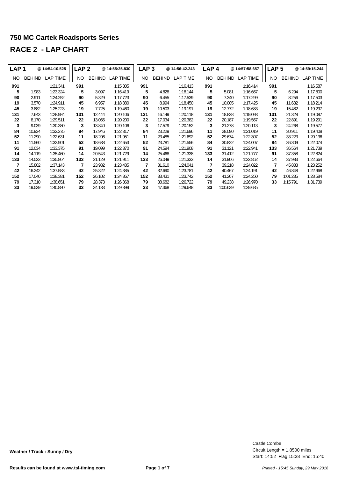#### **RACE 2 - LAP CHART**

| LAP <sub>1</sub> |               | @14:54:10.525 | LAP <sub>2</sub> |               | @14:55:25.830   | LAP <sub>3</sub> |               | @14:56:42.243 | LAP <sub>4</sub> |               | @ 14:57:58.657  | LAP <sub>5</sub> |               | @14:59:15.244 |
|------------------|---------------|---------------|------------------|---------------|-----------------|------------------|---------------|---------------|------------------|---------------|-----------------|------------------|---------------|---------------|
| NO.              | <b>BEHIND</b> | LAP TIME      | NO.              | <b>BEHIND</b> | <b>LAP TIME</b> | NO.              | <b>BEHIND</b> | LAP TIME      | NO.              | <b>BEHIND</b> | <b>LAP TIME</b> | NO.              | <b>BEHIND</b> | LAP TIME      |
| 991              |               | 1:21.341      | 991              |               | 1:15.305        | 991              |               | 1:16.413      | 991              |               | 1:16.414        | 991              |               | 1:16.587      |
| 5                | 1.983         | 1:23.324      | 5                | 3.097         | 1:16.419        | 5                | 4.828         | 1:18.144      | 5                | 5.081         | 1:16.667        | 5                | 6.294         | 1:17.800      |
| 90               | 2.911         | 1:24.252      | 90               | 5.329         | 1:17.723        | 90               | 6.455         | 1:17.539      | 90               | 7.340         | 1:17.299        | 90               | 8.256         | 1:17.503      |
| 19               | 3.570         | 1:24.911      | 45               | 6.957         | 1:18.380        | 45               | 8.994         | 1:18.450      | 45               | 10.005        | 1:17.425        | 45               | 11.632        | 1:18.214      |
| 45               | 3.882         | 1:25.223      | 19               | 7.725         | 1:19.460        | 19               | 10.503        | 1:19.191      | 19               | 12.772        | 1:18.683        | 19               | 15.482        | 1:19.297      |
| 131              | 7.643         | 1:28.984      | 131              | 12.444        | 1:20.106        | 131              | 16.149        | 1:20.118      | 131              | 18.828        | 1:19.093        | 131              | 21.328        | 1:19.087      |
| 22               | 8.170         | 1:29.511      | 22               | 13.065        | 1:20.200        | 22               | 17.034        | 1:20.382      | 22               | 20.187        | 1:19.567        | 22               | 22.891        | 1:19.291      |
| 3                | 9.039         | 1:30.380      | 3                | 13.840        | 1:20.106        | 3                | 17.579        | 1:20.152      | 3                | 21.278        | 1:20.113        | 3                | 24.268        | 1:19.577      |
| 84               | 10.934        | 1:32.275      | 84               | 17.946        | 1:22.317        | 84               | 23.229        | 1:21.696      | 11               | 28.090        | 1:21.019        | 11               | 30.911        | 1:19.408      |
| 52               | 11.290        | 1:32.631      | 11               | 18.206        | 1:21.951        | 11               | 23.485        | 1:21.692      | 52               | 29.674        | 1:22.307        | 52               | 33.223        | 1:20.136      |
| 11               | 11.560        | 1:32.901      | 52               | 18.638        | 1:22.653        | 52               | 23.781        | 1:21.556      | 84               | 30.822        | 1:24.007        | 84               | 36.309        | 1:22.074      |
| 91               | 12.034        | 1:33.375      | 91               | 19.099        | 1:22.370        | 91               | 24.594        | 1:21.908      | 91               | 31.121        | 1:22.941        | 133              | 36.564        | 1:21.739      |
| 14               | 14.119        | 1:35.460      | 14               | 20.543        | 1:21.729        | 14               | 25.468        | 1:21.338      | 133              | 31.412        | 1:21.777        | 91               | 37.358        | 1:22.824      |
| 133              | 14.523        | 1:35.864      | 133              | 21.129        | 1:21.911        | 133              | 26.049        | 1:21.333      | 14               | 31.906        | 1:22.852        | 14               | 37.983        | 1:22.664      |
| 7                | 15.802        | 1:37.143      | 7                | 23.982        | 1:23.485        | 7                | 31.610        | 1:24.041      |                  | 39.218        | 1:24.022        | 7                | 45.883        | 1:23.252      |
| 42               | 16.242        | 1:37.583      | 42               | 25.322        | 1:24.385        | 42               | 32.690        | 1:23.781      | 42               | 40.467        | 1:24.191        | 42               | 46.848        | 1:22.968      |
| 152              | 17.040        | 1:38.381      | 152              | 26.102        | 1:24.367        | 152              | 33.431        | 1:23.742      | 152              | 41.267        | 1:24.250        | 79               | 1:01.235      | 1:28.584      |
| 79               | 17.310        | 1:38.651      | 79               | 28.373        | 1:26.368        | 79               | 38.682        | 1:26.722      | 79               | 49.238        | 1:26.970        | 33               | 1:15.791      | 1:31.739      |
| 33               | 19.539        | 1:40.880      | 33               | 34.133        | 1:29.899        | 33               | 47.368        | 1:29.648      | 33               | 1:00.639      | 1:29.685        |                  |               |               |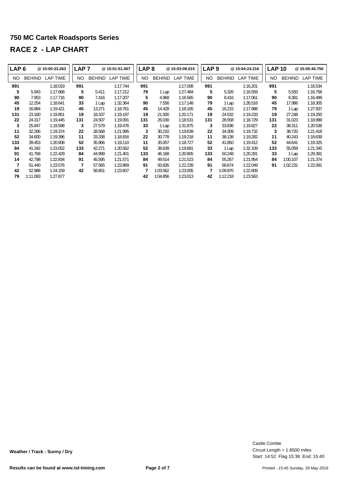#### **RACE 2 - LAP CHART**

| LAP <sub>6</sub> |          | @15:00:33.263   | <b>LAP7</b> |               | @ 15:01:51.007 | LAP <sub>8</sub> |               | @ 15:03:08.015  | LAP <sub>9</sub> |               | @15:04:24.216   | <b>LAP 10</b> |               | @ 15:05:40.750  |
|------------------|----------|-----------------|-------------|---------------|----------------|------------------|---------------|-----------------|------------------|---------------|-----------------|---------------|---------------|-----------------|
| NO.              | BEHIND   | <b>LAP TIME</b> | NO.         | <b>BEHIND</b> | LAP TIME       | NO               | <b>BEHIND</b> | <b>LAP TIME</b> | <b>NO</b>        | <b>BEHIND</b> | <b>LAP TIME</b> | NO.           | <b>BEHIND</b> | <b>LAP TIME</b> |
| 991              |          | 1:18.019        | 991         |               | 1:17.744       | 991              |               | 1:17.008        | 991              |               | 1:16.201        | 991           |               | 1:16.534        |
| 5                | 5.943    | 1:17.668        | 5           | 5.411         | 1:17.212       | 79               | 1 Lap         | 1:27.484        | 5                | 5.326         | 1:16.559        | 5             | 5.550         | 1:16.758        |
| 90               | 7.953    | 1:17.716        | 90          | 7.416         | 1:17.207       | 5                | 4.968         | 1:16.565        | 90               | 8.416         | 1:17.061        | 90            | 8.381         | 1:16.499        |
| 45               | 12.254   | 1:18.641        | 33          | 1 Lap         | 1:32.364       | 90               | 7.556         | 1:17.148        | 79               | 1 Lap         | 1:26.516        | 45            | 17.986        | 1:18.305        |
| 19               | 16.884   | 1:19.421        | 45          | 13.271        | 1:18.761       | 45               | 14.428        | 1:18.165        | 45               | 16.215        | 1:17.988        | 79            | 1 Lap         | 1:27.937        |
| 131              | 23.160   | 1:19.851        | 19          | 18.337        | 1:19.197       | 19               | 21.500        | 1:20.171        | 19               | 24.532        | 1:19.233        | 19            | 27.248        | 1:19.250        |
| 22               | 24.317   | 1:19.445        | 131         | 24.507        | 1:19.091       | 131              | 26.030        | 1:18.531        | 131              | 28.558        | 1:18.729        | 131           | 31.023        | 1:18.999        |
| 3                | 25.847   | 1:19.598        | 3           | 27.579        | 1:19.476       | 33               | 1 Lap         | 1:31.875        | 3                | 33.836        | 1:19.827        | 22            | 38.311        | 1:20.536        |
| 11               | 32.266   | 1:19.374        | 22          | 28.568        | 1:21.995       | 3                | 30.210        | 1:19.639        | 22               | 34.309        | 1:19.732        | 3             | 38.720        | 1:21.418        |
| 52               | 34.600   | 1:19.396        | 11          | 33.338        | 1:18.816       | 22               | 30.778        | 1:19.218        | 11               | 38.138        | 1:19.282        | 11            | 40.243        | 1:18.639        |
| 133              | 39.453   | 1:20.908        | 52          | 35.966        | 1:19.110       | 11               | 35.057        | 1:18.727        | 52               | 41.850        | 1:19.412        | 52            | 44.641        | 1:19.325        |
| 84               | 41.342   | 1:23.052        | 133         | 42.271        | 1:20.562       | 52               | 38.639        | 1:19.681        | 33               | 1 Lap         | 1:32.109        | 133           | 55.059        | 1:21.345        |
| 91               | 41.768   | 1:22.429        | 84          | 44.999        | 1:21.401       | 133              | 46.168        | 1:20.905        | 133              | 50.248        | 1:20.281        | 33            | 1 Lap         | 1:29.391        |
| 14               | 42.798   | 1:22.834        | 91          | 45.595        | 1:21.571       | 84               | 49.514        | 1:21.523        | 84               | 55.267        | 1:21.954        | 84            | 1:00.107      | 1:21.374        |
| 7                | 51.440   | 1:23.576        | 7           | 57.565        | 1:23.869       | 91               | 50.826        | 1:22.239        | 91               | 56.674        | 1:22.049        | 91            | 1:02.231      | 1:22.091        |
| 42               | 52.988   | 1:24.159        | 42          | 58.851        | 1:23.607       | 7                | 1:03.562      | 1:23.005        | 7                | 1:09.970      | 1:22.609        |               |               |                 |
| 79               | 1:11.093 | 1:27.877        |             |               |                | 42               | 1:04.856      | 1:23.013        | 42               | 1:12.218      | 1:23.563        |               |               |                 |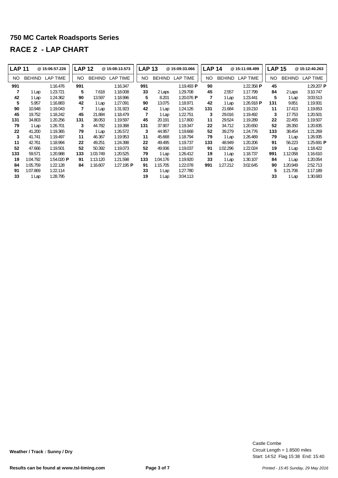#### **RACE 2 - LAP CHART**

| <b>LAP 11</b> |          | @15:06:57.226           | <b>LAP12</b> |          | @15:08:13.573 | <b>LAP 13</b> |               | @ 15:09:33.066          | <b>LAP 14</b> |               | @ 15:11:08.499          | <b>LAP 15</b> |               | @15:12:40.263           |
|---------------|----------|-------------------------|--------------|----------|---------------|---------------|---------------|-------------------------|---------------|---------------|-------------------------|---------------|---------------|-------------------------|
| NO.           | BEHIND   | LAP TIME                | NO.          | BEHIND   | LAP TIME      | NO.           | <b>BEHIND</b> | <b>LAP TIME</b>         | NO.           | <b>BEHIND</b> | LAP TIME                | NO.           | <b>BEHIND</b> | LAP TIME                |
| 991           |          | 1:16.476                | 991          |          | 1:16.347      | 991           |               | 1:19.493 $\textbf{P}$   | 90            |               | 1:22.358 $\blacksquare$ | 45            |               | 1:29.207 $\blacksquare$ |
| 7             | 1 Lap    | 1:23.721                | 5            | 7.618    | 1:18.008      | 33            | 2 Laps        | 1:29.708                | 45            | 2.557         | 1:17.799                | 84            | 2 Laps        | 3:10.747                |
| 42            | 1 Lap    | 1:24.362                | 90           | 13.597   | 1:18.996      | 5             | 8.201         | 1:20.076 $\blacksquare$ | 7             | 1 Lap         | 1:23.441                | 5             | 1 Lap         | 3:03.513                |
| 5             | 5.957    | 1:16.883                | 42           | 1 Lap    | 1:27.091      | 90            | 13.075        | 1:18.971                | 42            | 1 Lap         | 1:26.918 $\blacksquare$ | 131           | 9.851         | 1:19.931                |
| 90            | 10.948   | 1:19.043                | 7            | 1 Lap    | 1:31.923      | 42            | 1 Lap         | 1:24.126                | 131           | 21.684        | 1:19.210                | 11            | 17.413        | 1:19.653                |
| 45            | 19.752   | 1:18.242                | 45           | 21.884   | 1:18.479      | 7             | 1 Lap         | 1:22.751                | 3             | 29.016        | 1:19.492                | 3             | 17.753        | 1:20.501                |
| 131           | 34.803   | 1:20.256                | 131          | 38.053   | 1:19.597      | 45            | 20.191        | 1:17.800                | 11            | 29.524        | 1:19.289                | 22            | 22.455        | 1:19.507                |
| 79            | 1 Lap    | 1:26.701                | 3            | 44.782   | 1:19.388      | 131           | 37.907        | 1:19.347                | 22            | 34.712        | 1:20.650                | 52            | 28.350        | 1:20.835                |
| 22            | 41.200   | 1:19.365                | 79           | 1 Lap    | 1:26.572      | 3             | 44.957        | 1:19.668                | 52            | 39.279        | 1:24.776                | 133           | 38.454        | 1:21.269                |
| 3             | 41.741   | 1:19.497                | 11           | 46.367   | 1:19.953      | 11            | 45.668        | 1:18.794                | 79            | 1 Lap         | 1:26.469                | 79            | 1 Lap         | 1:26.935                |
| 11            | 42.761   | 1:18.994                | 22           | 49.251   | 1:24.398      | 22            | 49.495        | 1:19.737                | 133           | 48.949        | 1:20.206                | 91            | 56.223        | 1:25.691 $\textbf{P}$   |
| 52            | 47.666   | 1:19.501                | 52           | 50.392   | 1:19.073      | 52            | 49.936        | 1:19.037                | 91            | 1:02.296      | 1:22.024                | 19            | 1 Lap         | 1:18.422                |
| 133           | 59.571   | 1:20.988                | 133          | 1:03.749 | 1:20.525      | 79            | 1 Lap         | 1:26.412                | 19            | 1 Lap         | 1:18.737                | 991           | 1:12.058      | 1:16.610                |
| 19            | 1:04.792 | 1:54.020 $\blacksquare$ | 91           | 1:13.120 | 1:21.598      | 133           | 1:04.176      | 1:19.920                | 33            | 1 Lap         | 1:30.107                | 84            | 1 Lap         | 1:20.054                |
| 84            | 1:05.759 | 1:22.128                | 84           | 1:16.607 | 1:27.195 P    | 91            | 1:15.705      | 1:22.078                | 991           | 1:27.212      | 3:02.645                | 90            | 1:20.949      | 2:52.713                |
| 91            | 1:07.869 | 1:22.114                |              |          |               | 33            | 1 Lap         | 1:27.780                |               |               |                         | 5             | 1:21.706      | 1:17.189                |
| 33            | 1 Lap    | 1:28.795                |              |          |               | 19            | 1 Lap         | 3:04.113                |               |               |                         | 33            | 1 Lap         | 1:30.683                |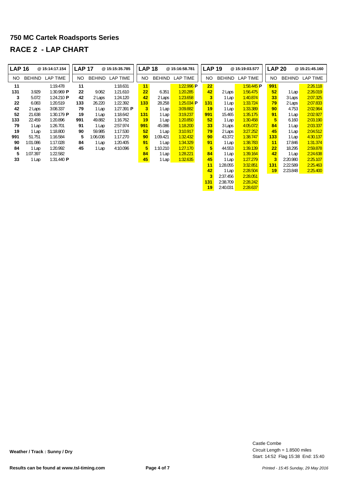#### **RACE 2 - LAP CHART**

| <b>LAP 16</b> |               | @15:14:17.154           | <b>LAP 17</b> |               | @15:15:35.785           | <b>LAP 18</b>    |               | @15:16:58.781   | <b>LAP 19</b>   |               | @15:19:03.577 | <b>LAP 20</b>   |               | @15:21:45.160   |
|---------------|---------------|-------------------------|---------------|---------------|-------------------------|------------------|---------------|-----------------|-----------------|---------------|---------------|-----------------|---------------|-----------------|
| NO.           | <b>BEHIND</b> | <b>LAP TIME</b>         | NO.           | <b>BEHIND</b> | LAP TIME                | NO               | <b>BEHIND</b> | <b>LAP TIME</b> | NO.             | <b>BEHIND</b> | LAP TIME      | NO.             | <b>BEHIND</b> | <b>LAP TIME</b> |
| 11            |               | 1:19.478                | 11            |               | 1:18.631                | 11               |               | $1:22.996$ P    | 22              |               | $1:58.445$ P  | 991             |               | 2:26.118        |
| 131           | 3.929         | 1:30.969 $\blacksquare$ | 22            | 9.062         | 1:21.610                | 22               | 6.351         | 1:20.285        | 42              | 2 Laps        | 1:56.475      | 52              | 1 Lap         | 2:26.019        |
| 3             | 5.072         | 1:24.210 $\blacksquare$ | 42            | 2 Laps        | 1:24.120                | 42               | 2 Laps        | 1:23.658        | 3               | 1 Lap         | 1:40.874      | 33              | 3 Laps        | 2:07.325        |
| 22            | 6.083         | 1:20.519                | 133           | 26.220        | 1:22.392                | 133 <sub>1</sub> | 28.258        | $1:25.034$ P    | 131             | 1 Lap         | 1:33.724      | 79              | 2 Laps        | 2:07.833        |
| 42            | 2 Laps        | 3:08.337                | 79            | 1 Lap         | 1:27.391 $\blacksquare$ | 3                | 1 Lap         | 3:09.882        | 19              | 1 Lap         | 1:33.389      | 90 <sub>o</sub> | 4.753         | 2:02.964        |
| 52            | 21.638        | 1:30.179 $\blacksquare$ | 19            | 1 Lap         | 1:18.642                | 131              | 1 Lap         | 3:19.237        | 991             | 15.465        | 1:35.175      | 91              | 1 Lap         | 2:02.927        |
| 133           | 22.459        | 1:20.896                | 991           | 49.882        | 1:16.762                | 19               | 1 Lap         | 1:20.850        | 52              | 1 Lap         | 1:30.458      | 5               | 6.160         | 2:03.190        |
| 79            | 1 Lap         | 1:26.701                | 91            | 1 Lap         | 2:57.974                | 991              | 45.086        | 1:18.200        | 33 <sub>o</sub> | 3 Laps        | 4:05.072      | 84              | 1 Lap         | 2:03.337        |
| 19            | 1 Lap         | 1:18.800                | 90            | 59.985        | 1:17.530                | 52               | 1 Lap         | 3:10.917        | 79              | 2 Laps        | 3:27.252      | 45              | 1 Lap         | 2:04.512        |
| 991           | 51.751        | 1:16.584                | 5             | 1:06.036      | 1:17.270                | 90               | 1:09.421      | 1:32.432        | 90 <sub>o</sub> | 43.372        | 1:38.747      | 133             | 1 Lap         | 4:30.137        |
| 90            | 1:01.086      | 1:17.028                | 84            | 1 Lap         | 1:20.405                | 91               | 1 Lap         | 1:34.329        | 91              | 1 Lap         | 1:38.783      | 11              | 17.846        | 1:31.374        |
| 84            | 1 Lap         | 1:20.992                | 45            | 1 Lap         | 4:10.096                | 5                | 1:10.210      | 1:27.170        | 5               | 44.553        | 1:39.139      | 22              | 18.295        | 2:59.878        |
| 5             | 1:07.397      | 1:22.582                |               |               |                         | 84               | 1 Lap         | 1:28.221        | 84              | 1 Lap         | 1:39.164      | 42              | 1 Lap         | 2:24.638        |
| 33            | 1 Lap         | 1:31.440 $\bf{P}$       |               |               |                         | 45               | 1 Lap         | 1:32.635        | 45              | 1 Lap         | 1:27.279      | 3               | 2:20.980      | 2:25.107        |
|               |               |                         |               |               |                         |                  |               |                 | 11              | 1:28.055      | 3:32.851      | 131             | 2:22.589      | 2:25.463        |
|               |               |                         |               |               |                         |                  |               |                 | 42              | 1 Lap         | 2:28.504      | 19              | 2:23.848      | 2:25.400        |
|               |               |                         |               |               |                         |                  |               |                 | 3               | 2:37.456      | 2:28.051      |                 |               |                 |
|               |               |                         |               |               |                         |                  |               |                 | 131             | 2:38.709      | 2:28.242      |                 |               |                 |
|               |               |                         |               |               |                         |                  |               |                 | 19              | 2:40.031      | 2:28.637      |                 |               |                 |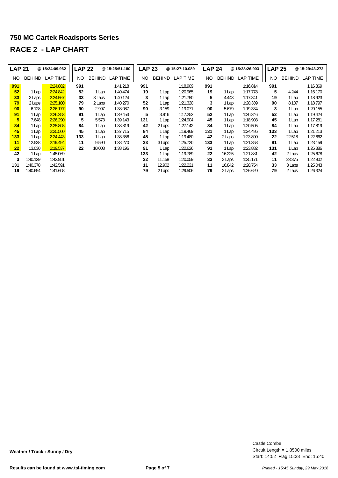#### **RACE 2 - LAP CHART**

| <b>LAP 21</b> |               | @ 15:24:09.962  | <b>LAP 22</b> |               | @15:25:51.180 | <b>LAP 23</b> |               | @15:27:10.089   | <b>LAP 24</b> |               | @ 15:28:26.903 | <b>LAP 25</b> |               | @15:29:43.272   |
|---------------|---------------|-----------------|---------------|---------------|---------------|---------------|---------------|-----------------|---------------|---------------|----------------|---------------|---------------|-----------------|
| NO.           | <b>BEHIND</b> | <b>LAP TIME</b> | NO.           | <b>BEHIND</b> | LAP TIME      | <b>NO</b>     | <b>BEHIND</b> | <b>LAP TIME</b> | <b>NO</b>     | <b>BEHIND</b> | LAP TIME       | NO.           | <b>BEHIND</b> | <b>LAP TIME</b> |
| 991           |               | 2:24.802        | 991           |               | 1:41.218      | 991           |               | 1:18.909        | 991           |               | 1:16.814       | 991           |               | 1:16.369        |
| 52            | 1 Lap         | 2:24.842        | 52            | 1 Lap         | 1:40.474      | 19            | 1 Lap         | 1:20.965        | 19            | 1 Lap         | 1:17.778       | 5             | 4.244         | 1:16.170        |
| 33            | 3 Laps        | 2:24.567        | 33            | 3 Laps        | 1:40.124      | 3             | 1 Lap         | 1:21.750        | 5             | 4.443         | 1:17.341       | 19            | 1 Lap         | 1:18.923        |
| 79            | 2 Laps        | 2:25.100        | 79            | 2 Laps        | 1:40.270      | 52            | 1 Lap         | 1:21.320        | 3             | 1 Lap         | 1:20.339       | 90            | 8.107         | 1:18.797        |
| 90            | 6.128         | 2:26.177        | 90            | 2.997         | 1:38.087      | 90            | 3.159         | 1:19.071        | 90            | 5.679         | 1:19.334       | 3             | 1 Lap         | 1:20.155        |
| 91            | 1 Lap         | 2:26.253        | 91            | 1 Lap         | 1:39.453      | 5             | 3.916         | 1:17.252        | 52            | 1 Lap         | 1:20.346       | 52            | 1 Lap         | 1:19.424        |
| 5             | 7.648         | 2:26.290        | 5             | 5.573         | 1:39.143      | 131           | 1 Lap         | 1:24.904        | 45            | 1 Lap         | 1:18.903       | 45            | 1 Lap         | 1:17.281        |
| 84            | 1 Lap         | 2:25.803        | 84            | 1 Lap         | 1:38.819      | 42            | 2 Laps        | 1:27.142        | 84            | 1 Lap         | 1:20.505       | 84            | 1 Lap         | 1:17.819        |
| 45            | 1 Lap         | 2:25.560        | 45            | 1 Lap         | 1:37.715      | 84            | 1 Lap         | 1:19.469        | 131           | 1 Lap         | 1:24.486       | 133           | 1 Lap         | 1:21.213        |
| 133           | 1 Lap         | 2:24.443        | 133           | 1 Lap         | 1:38.356      | 45            | 1 Lap         | 1:19.480        | 42            | 2 Laps        | 1:23.890       | 22            | 22.518        | 1:22.662        |
| 11            | 12.538        | 2:19.494        | 11            | 9.590         | 1:38.270      | 33            | 3 Laps        | 1:25.720        | 133           | 1 Lap         | 1:21.358       | 91            | 1 Lap         | 1:23.159        |
| 22            | 13.030        | 2:19.537        | 22            | 10.008        | 1:38.196      | 91            | 1 Lap         | 1:22.626        | 91            | 1 Lap         | 1:23.882       | 131           | 1 Lap         | 1:26.386        |
| 42            | 1 Lap         | 1:45.069        |               |               |               | 133           | 1 Lap         | 1:19.789        | 22            | 16.225        | 1:21.881       | 42            | 2 Laps        | 1:25.678        |
| 3             | 1:40.129      | 1:43.951        |               |               |               | 22            | 11.158        | 1:20.059        | 33            | 3 Laps        | 1:25.171       | 11            | 23.375        | 1:22.902        |
| 131           | :40.378       | 1:42.591        |               |               |               | 11            | 12.902        | 1:22.221        | 11            | 16.842        | 1:20.754       | 33            | 3 Laps        | 1:25.043        |
| 19            | 1:40.654      | 1:41.608        |               |               |               | 79            | 2 Laps        | 1:29.506        | 79            | 2 Laps        | 1:26.620       | 79            | 2 Laps        | 1:26.324        |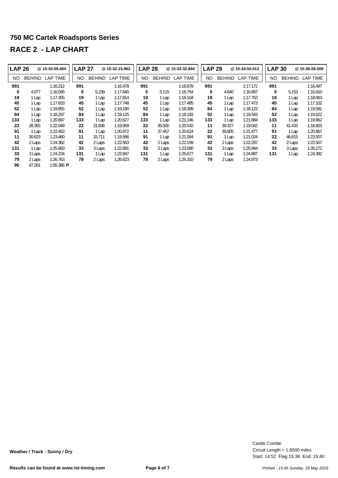#### **RACE 2 - LAP CHART**

| <b>LAP 26</b> |               | @ 15:30:59.484  | <b>LAP 27</b> |               | @ 15:32:15.962  | <b>LAP 28</b> |               | @ 15:33:32.840  |           | <b>LAP 29</b> | @15:34:50.012   | <b>LAP 30</b> |               | @ 15:36:06.509 |
|---------------|---------------|-----------------|---------------|---------------|-----------------|---------------|---------------|-----------------|-----------|---------------|-----------------|---------------|---------------|----------------|
| NO.           | <b>BEHIND</b> | <b>LAP TIME</b> | <b>NO</b>     | <b>BEHIND</b> | <b>LAP TIME</b> | <b>NO</b>     | <b>BEHIND</b> | <b>LAP TIME</b> | <b>NO</b> | <b>BEHIND</b> | <b>LAP TIME</b> | <b>NO</b>     | <b>BEHIND</b> | LAP TIME       |
| 991           |               | 1:16.212        | 991           |               | 1:16.478        | 991           |               | 1:16.878        | 991       |               | 1:17.172        | 991           |               | 1:16.497       |
| 5             | 4.077         | 1:16.045        | 5             | 5.239         | 1:17.640        | 5             | 5.115         | 1:16.754        | 5         | 4.840         | 1:16.897        | 5             | 5.153         | 1:16.810       |
| 19            | 1 Lap         | 1:17.355        | 19            | 1 Lap         | 1:17.814        | 19            | 1 Lap         | 1:18.104        | 19        | 1 Lap         | 1:17.752        | 19            | 1 Lap         | 1:18.063       |
| 45            | 1 Lap         | 1:17.833        | 45            | 1 Lap         | 1:17.748        | 45            | 1 Lap         | 1:17.485        | 45        | 1 Lap         | 1:17.473        | 45            | 1 Lap         | 1:17.102       |
| 52            | 1 Lap         | 1:19.855        | 52            | 1 Lap         | 1:19.180        | 52            | 1 Lap         | 1:18.399        | 84        | 1 Lap         | 1:18.123        | 84            | 1 Lap         | 1:19.581       |
| 84            | 1 Lap         | 1:18.297        | 84            | 1 Lap         | 1:19.125        | 84            | 1 Lap         | 1:18.193        | 52        | 1 Lap         | 1:19.543        | 52            | 1 Lap         | 1:19.622       |
| 133           | 1 Lap         | 1:20.897        | 133           | 1 Lap         | 1:20.627        | 133           | 1 Lap         | 1:21.146        | 133       | 1 Lap         | 1:21.884        | 133           | 1 Lap         | 1:19.962       |
| 22            | 28.355        | 1:22.049        | 22            | 31.836        | 1:19.959        | 22            | 35.500        | 1:20.542        | 11        | 39.327        | 1:19.042        | 11            | 41.433        | 1:18.603       |
| 91            | 1 Lap         | 1:22.453        | 91            | 1 Lap         | 1:20.872        | 11            | 37.457        | 1:20.624        | 22        | 39.805        | 1:21.477        | 91            | 1 Lap         | 1:20.867       |
| 11            | 30.623        | 1:23.460        | 11            | 33.711        | 1:19.566        | 91            | 1 Lap         | 1:21.584        | 91        | 1 Lap         | 1:21.024        | 22            | 46.815        | 1:23.507       |
| 42            | 2 Laps        | 1:24.362        | 42            | 2 Laps        | 1:22.563        | 42            | 2 Laps        | 1:22.199        | 42        | 2 Laps        | 1:22.297        | 42            | 2 Laps        | 1:22.507       |
| 131           | 1 Lap         | 1:25.683        | 33            | 3 Laps        | 1:22.691        | 33            | 3 Laps        | 1:23.080        | 33        | 3 Laps        | 1:25.944        | 33            | 3 Laps        | 1:26.272       |
| 33            | 3 Laps        | 1:24.234        | 131           | 1 Lap         | 1:23.947        | 131           | 1 Lap         | 1:25.677        | 131       | 1 Lap         | 1:24.887        | 131           | 1 Lap         | 1:24.392       |
| 79            | 2 Laps        | 1:26.763        | 79            | 2 Laps        | 1:26.623        | 79            | 2 Laps        | 1:25.310        | 79        | 2 Laps        | 1:24.973        |               |               |                |
| 90            | 47.261        | 1:55.366 $P$    |               |               |                 |               |               |                 |           |               |                 |               |               |                |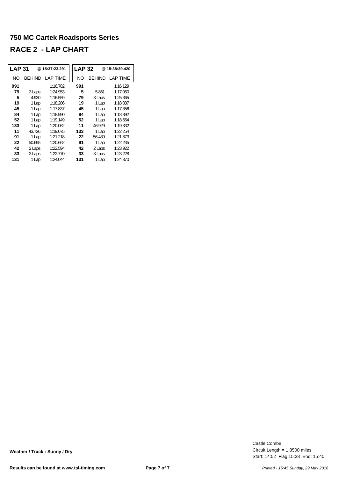## **RACE 2 - LAP CHART**

| <b>LAP 31</b> |               | @15:37:23.291   | <b>LAP 32</b> |               | @15:38:39.420   |
|---------------|---------------|-----------------|---------------|---------------|-----------------|
| <b>NO</b>     | <b>BEHIND</b> | <b>LAP TIME</b> | <b>NO</b>     | <b>BEHIND</b> | <b>LAP TIME</b> |
| 991           |               | 1:16.782        | 991           |               | 1:16.129        |
| 79            | 3 Laps        | 1:24.953        | 5             | 5.861         | 1:17.060        |
| 5             | 4.930         | 1:16.559        | 79            | 3 Laps        | 1:25.365        |
| 19            | 1 Lap         | 1:18.286        | 19            | 1 Lap         | 1:18.837        |
| 45            | 1 Lap         | 1:17.837        | 45            | 1 Lap         | 1:17.356        |
| 84            | 1 Lap         | 1:18.990        | 84            | 1 Lap         | 1:18.892        |
| 52            | 1 Lap         | 1:19.149        | 52            | 1 Lap         | 1:18.654        |
| 133           | 1 Lap         | 1:20.062        | 11            | 46.929        | 1:19.332        |
| 11            | 43.726        | 1:19.075        | 133           | 1 Lap         | 1:22.254        |
| 91            | 1 Lap         | 1:21.218        | 22            | 56.439        | 1:21.873        |
| 22            | 50.695        | 1:20.662        | 91            | 1 Lap         | 1:22.235        |
| 42            | 2 Laps        | 1:22.594        | 42            | 2 Laps        | 1:23.922        |
| 33            | 3 Laps        | 1:22.770        | 33            | 3 Laps        | 1:23.228        |
| 131           | 1 Lap         | 1:24.044        | 131           | 1 Lap         | 1:24.370        |

Start: 14:52 Flag 15:38 End: 15:40 Circuit Length = 1.8500 miles Castle Combe

**Weather / Track : Sunny / Dry**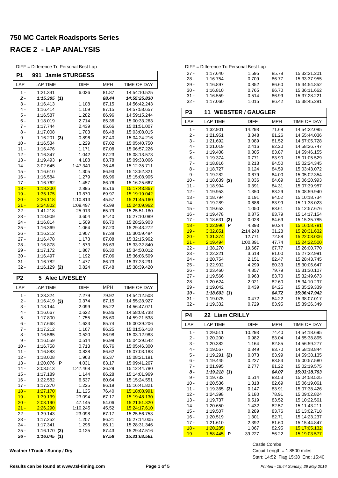#### **750 MC Cartek Roadsports Series RACE 2 - LAP ANALYSIS**

#### DIFF = Difference To Personal Best Lap

| P1               | 991                           | <b>Jamie STURGESS</b> |                |                              |
|------------------|-------------------------------|-----------------------|----------------|------------------------------|
| LAP              | <b>LAP TIME</b>               | <b>DIFF</b>           | MPH            | TIME OF DAY                  |
| 1 -              | 1:21.341                      | 6.036                 | 81.87          | 14:54:10.525                 |
| 2 -              | 1:15.305(1)                   |                       | 88.44          | 14:55:25.830                 |
| 3 -              | 1:16.413                      | 1.108                 | 87.15          | 14:56:42.243                 |
| 4 -              | 1:16.414                      | 1.109                 | 87.15          | 14:57:58.657                 |
| 5 -              | 1:16.587                      | 1.282<br>2.714        | 86.96          | 14:59:15.244                 |
| 6 -<br>7 -       | 1:18.019<br>1:17.744          | 2.439                 | 85.36<br>85.66 | 15:00:33.263<br>15:01:51.007 |
| 8 -              | 1:17.008                      | 1.703                 | 86.48          | 15:03:08.015                 |
| 9 -              | 1:16.201<br>(3)               | 0.896                 | 87.40          | 15:04:24.216                 |
| $10 -$           | 1:16.534                      | 1.229                 | 87.02          | 15:05:40.750                 |
| 11 -             | 1:16.476                      | 1.171                 | 87.08          | 15:06:57.226                 |
| $12 -$           | 1:16.347                      | 1.042                 | 87.23          | 15:08:13.573                 |
| $13 -$           | 1:19.493<br>Ρ                 | 4.188                 | 83.78          | 15:09:33.066                 |
| $14 -$           | 3:02.645                      | 1:47.340              | 36.46          | 15:12:35.711                 |
| 15 -             | 1:16.610                      | 1.305                 | 86.93          | 15:13:52.321                 |
| $16 -$           | 1:16.584                      | 1.279                 | 86.96          | 15:15:08.905                 |
| $17 -$           | 1:16.762                      | 1.457                 | 86.76          | 15:16:25.667                 |
| $18 -$<br>$19 -$ | 1:18.200<br>1:35.175          | 2.895<br>19.870       | 85.16<br>69.97 | 15:17:43.867<br>15:19:19.042 |
| $20 -$           | 2:26.118                      | 1:10.813              | 45.57          | 15.21:45.160                 |
| <u> 21 -</u>     | 2:24.802                      | 1:09.497              | 45.99          | 15:24:09.962                 |
| 22 -             | 1:41.218                      | 25.913                | 65.79          | 15:25:51.180                 |
| 23 -             | 1:18.909                      | 3.604                 | 84.40          | 15:27:10.089                 |
| 24 -             | 1:16.814                      | 1.509                 | 86.70          | 15:28:26.903                 |
| 25 -             | 1:16.369                      | 1.064                 | 87.20          | 15:29:43.272                 |
| 26 -             | 1:16.212                      | 0.907                 | 87.38          | 15:30:59.484                 |
| 27 -             | 1:16.478                      | 1.173                 | 87.08          | 15:32:15.962                 |
| 28 -             | 1:16.878                      | 1.573                 | 86.63          | 15:33:32.840                 |
| 29 -<br>30 -     | 1:17.172<br>1:16.497          | 1.867<br>1.192        | 86.30<br>87.06 | 15:34:50.012<br>15:36:06.509 |
| 31 -             | 1:16.782                      | 1.477                 | 86.73          | 15:37:23.291                 |
| 32 -             | $1:16.129$ (2)                | 0.824                 | 87.48          | 15:38:39.420                 |
| P <sub>2</sub>   | 5                             | <b>Alec LIVESLEY</b>  |                |                              |
| LAP              | <b>LAP TIME</b>               | DIFF                  | <b>MPH</b>     | TIME OF DAY                  |
| 1 -              | 1:23.324                      | 7.279                 | 79.92          | 14:54:12.508                 |
| $2 -$            | $1:16.419$ (3)                | 0.374                 | 87.15          | 14:55:28.927                 |
| 3 -              | 1:18.144                      | 2.099                 | 85.22          | 14:56:47.071                 |
| 4 -              | 1:16.667                      | 0.622                 | 86.86          | 14:58:03.738                 |
| 5 -              | 1:17.800                      | 1.755                 | 85.60          | 14:59:21.538                 |
| $6 -$            | 1:17.668                      | 1.623                 | 85.74          | 15:00:39.206                 |
| 7 -<br>$8 -$     | 1:17.212<br>1:16.565          | 1.167<br>0.520        | 86.25<br>86.98 | 15:01:56.418<br>15:03:12.983 |
| $9 -$            | 1:16.559                      | 0.514                 | 86.99          | 15:04:29.542                 |
| $10 -$           | 1:16.758                      | 0.713                 | 86.76          | 15:05:46.300                 |
| $11 -$           | 1:16.883                      | 0.838                 | 86.62          | 15:07:03.183                 |
| $12 -$           | 1:18.008                      | 1.963                 | 85.37          | 15:08:21.191                 |
| $13 -$           | 1:20.076<br>P                 | 4.031                 | 83.17          | 15:09:41.267                 |
| $14 -$           | 3:03.513                      | 1:47.468              | 36.29          | 15:12:44.780                 |
| $15 -$           | 1:17.189                      | 1.144                 | 86.28          | 15:14:01.969                 |
| $16 -$           | 1:22.582                      | 6.537                 | 80.64          | 15:15:24.551                 |
| $17 -$<br>$18 -$ | 1:17.270<br>1:27.170          | 1.225                 | 86.19          | 15:16:41.821<br>15:18:08.991 |
| $19 -$           | <u>1:39.139</u>               | 11.125<br>23.094      | 76.40<br>67.17 | <u>15:19:48.130</u>          |
| $20 -$           | 2:03.190                      | 47.145                | 54.06          | 15:21:51.320                 |
| $21 -$           | 2:26.290                      | 1:10.245              | 45.52          | 15:24:17.610                 |
| 22 -             | 1:39.143                      | 23.098                | 67.17          | 15:25:56.753                 |
| 23 -             | 1:17.252                      | 1.207                 | 86.21          | 15:27:14.005                 |
| $24 -$           | 1:17.341                      | 1.296                 | 86.11          | 15:28:31.346                 |
| $25 -$<br>$26 -$ | $1:16.170$ (2)<br>1:16.045(1) | 0.125                 | 87.43<br>87.58 | 15:29:47.516<br>15:31:03.561 |
|                  |                               |                       |                |                              |

**Weather / Track : Sunny / Dry**

|         | DIFF = Difference To Personal Best Lap |       |       |              |
|---------|----------------------------------------|-------|-------|--------------|
| 27 -    | 1:17.640                               | 1.595 | 85.78 | 15:32:21.201 |
| $28 -$  | 1:16.754                               | 0.709 | 86.77 | 15:33:37.955 |
| $29 -$  | 1:16.897                               | 0.852 | 86.60 | 15:34:54.852 |
| $30 -$  | 1:16.810                               | 0.765 | 86.70 | 15:36:11.662 |
| $.31 -$ | 1:16.559                               | 0.514 | 86.99 | 15:37:28.221 |
| $32 -$  | 1:17.060                               | 1.015 | 86.42 | 15:38:45.281 |

| P <sub>3</sub> | 11                | <b>WEBSTER / GAUGLER</b> |            |                    |
|----------------|-------------------|--------------------------|------------|--------------------|
| LAP            | <b>LAP TIME</b>   | <b>DIFF</b>              | <b>MPH</b> | <b>TIME OF DAY</b> |
| $1 -$          | 1:32.901          | 14.298                   | 71.68      | 14:54:22.085       |
| $2 -$          | 1:21.951          | 3.348                    | 81.26      | 14:55:44.036       |
| $3 -$          | 1:21.692          | 3.089                    | 81.52      | 14:57:05.728       |
| 4 -            | 1:21.019          | 2.416                    | 82.20      | 14:58:26.747       |
| 5 -            | 1:19.408          | 0.805                    | 83.87      | 14:59:46.155       |
| $6 -$          | 1:19.374          | 0.771                    | 83.90      | 15:01:05.529       |
| $7 -$          | 1:18.816          | 0.213                    | 84.50      | 15:02:24.345       |
| $8 -$          | 1:18.727          | 0.124                    | 84.59      | 15:03:43.072       |
| $9 -$          | 1:19.282          | 0.679                    | 84.00      | 15:05:02.354       |
| $10 -$         | 1:18.639<br>(3)   | 0.036                    | 84.69      | 15:06:20.993       |
| $11 -$         | 1:18.994          | 0.391                    | 84.31      | 15:07:39.987       |
| $12 -$         | 1:19.953          | 1.350                    | 83.29      | 15:08:59.940       |
| $13 -$         | 1:18.794          | 0.191                    | 84.52      | 15:10:18.734       |
| $14 -$         | 1:19.289          | 0.686                    | 83.99      | 15:11:38.023       |
| $15 -$         | 1:19.653          | 1.050                    | 83.61      | 15:12:57.676       |
| $16 -$         | 1:19.478          | 0.875                    | 83.79      | 15:14:17.154       |
| $17 -$         | 1:18.631<br>(2)   | 0.028                    | 84.69      | 15:15:35.785       |
| $18 -$         | 1:22.996<br>P     | 4.393                    | 80.24      | 15:16:58.781       |
| $19 -$         | 3:32.851          | 2:14.248                 | 31.28      | 15:20:31.632       |
| $20 -$         | 1:31.374          | 12.771                   | 72.88      | 15:22:03.006       |
| $21 -$         | 2:19.494          | 1:00.891                 | 47.74      | 15:24:22.500       |
| $22 -$         | 1:38.270          | 19.667                   | 67.77      | 15:26:00.770       |
| $23 -$         | 1:22.221          | 3.618                    | 81.00      | 15:27:22.991       |
| $24 -$         | 1:20.754          | 2.151                    | 82.47      | 15:28:43.745       |
| $25 -$         | 1:22.902          | 4.299                    | 80.33      | 15:30:06.647       |
| $26 -$         | 1:23.460          | 4.857                    | 79.79      | 15:31:30.107       |
| $27 -$         | 1:19.566          | 0.963                    | 83.70      | 15:32:49.673       |
| $28 -$         | 1:20.624          | 2.021                    | 82.60      | 15:34:10.297       |
| $29 -$         | 1:19.042          | 0.439                    | 84.25      | 15:35:29.339       |
| $30 -$         | 1:18.603(1)       |                          | 84.72      | 15:36:47.942       |
| $31 -$         | 1:19.075          | 0.472                    | 84.22      | 15:38:07.017       |
| $32 -$         | 1:19.332          | 0.729                    | 83.95      | 15:39:26.349       |
| P4             | 22<br>Liam CRILLY |                          |            |                    |

| LL              |             |                 |              |
|-----------------|-------------|-----------------|--------------|
| <b>LAP TIME</b> | <b>DIFF</b> | <b>MPH</b>      | TIME OF DAY  |
| 1:29.511        | 10.293      | 74.40           | 14:54:18.695 |
| 1:20.200        | 0.982       | 83.04           | 14:55:38.895 |
| 1:20.382        | 1.164       | 82.85           | 14:56:59.277 |
| 1:19.567        | 0.349       | 83.70           | 14:58:18.844 |
| 1:19.291<br>(2) | 0.073       | 83.99           | 14:59:38.135 |
| 1:19.445        | 0.227       | 83.83           | 15:00:57.580 |
| 1:21.995        | 2.777       | 81.22           | 15:02:19.575 |
| 1:19.218(1)     |             | 84.07           | 15:03:38.793 |
| 1:19.732        | 0.514       | 83.53           | 15:04:58.525 |
| 1:20.536        | 1.318       | 82.69           | 15:06:19.061 |
| 1:19.365<br>(3) | 0.147       | 83.91           | 15:07:38.426 |
| 1:24.398        | 5.180       | 78.91           | 15:09:02.824 |
| 1:19.737        | 0.519       | 83.52           | 15:10:22.561 |
| 1:20.650        | 1.432       | 82.57           | 15:11:43.211 |
| 1:19.507        | 0.289       | 83.76           | 15:13:02.718 |
| 1:20.519        | 1.301       | 82.71           | 15:14:23.237 |
| 1:21.610        | 2.392       | 81.60           | 15.15.44.847 |
| 1:20.285        | 1.067       | 82.95           | 15:17:05.132 |
| Ρ<br>1:58.445   | 39.227      | 56.22           | 15.19.03.577 |
|                 |             | LIAIII VIIILL I |              |

Castle Combe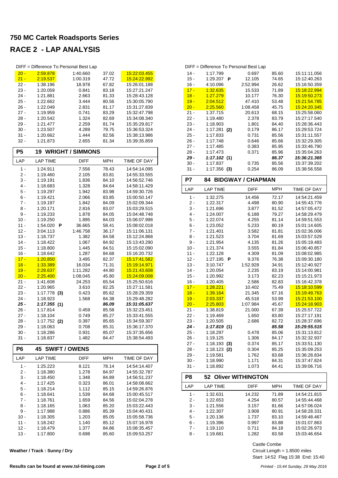## **RACE 2 - LAP ANALYSIS**

|                | DIFF = Difference To Personal Best Lap |                         |                |                              |
|----------------|----------------------------------------|-------------------------|----------------|------------------------------|
| $20 -$         | 2:59.878                               | 1:40.660                | 37.02          | 15:22:03.455                 |
| $21 -$         | <u>2:19.537</u>                        | 1:00.319                | 47.72          | <u>15:24:22.992</u>          |
| 22 -           | 1:38.196                               | 18.978                  | 67.82          | 15:26:01.188                 |
| 23 -           | 1:20.059                               | 0.841                   | 83.18          | 15:27:21.247                 |
| 24 -           | 1:21.881                               | 2.663                   | 81.33          | 15:28:43.128                 |
| $25 -$         | 1:22.662                               | 3.444                   | 80.56          | 15:30:05.790                 |
| $26 -$         | 1:22.049                               | 2.831                   | 81.17          | 15:31:27.839                 |
| 27 -           | 1:19.959                               | 0.741                   | 83.29          | 15:32:47.798                 |
| 28 -           | 1:20.542                               | 1.324                   | 82.69          | 15:34:08.340                 |
| $29 -$         | 1:21.477                               | 2.259                   | 81.74          | 15:35:29.817                 |
| 30 -           | 1:23.507                               | 4.289                   | 79.75          | 15:36:53.324                 |
| 31 -           | 1:20.662                               | 1.444                   | 82.56          | 15:38:13.986                 |
| $32 -$         | 1:21.873                               | 2.655                   | 81.34          | 15:39:35.859                 |
| P5             | 19                                     | <b>WRIGHT / SIMMONS</b> |                |                              |
|                |                                        |                         |                |                              |
| LAP            | <b>LAP TIME</b>                        | <b>DIFF</b>             | <b>MPH</b>     | TIME OF DAY                  |
| 1 -            | 1:24.911                               | 7.556                   | 78.43          | 14:54:14.095                 |
| 2 -            | 1:19.460                               | 2.105                   | 83.81          | 14:55:33.555                 |
| 3 -            | 1:19.191                               | 1.836                   | 84.10          | 14:56:52.746                 |
| 4 -<br>5 -     | 1:18.683<br>1:19.297                   | 1.328<br>1.942          | 84.64<br>83.98 | 14:58:11.429<br>14:59:30.726 |
| 6 -            | 1:19.421                               | 2.066                   | 83.85          | 15:00:50.147                 |
| 7 -            | 1:19.197                               | 1.842                   | 84.09          | 15:02:09.344                 |
| 8 -            | 1:20.171                               | 2.816                   | 83.07          | 15:03:29.515                 |
| 9 -            | 1:19.233                               | 1.878                   | 84.05          | 15:04:48.748                 |
| $10 -$         | 1:19.250                               | 1.895                   | 84.03          | 15:06:07.998                 |
| $11 -$         | 1:54.020<br>Р                          | 36.665                  | 58.41          | 15:08:02.018                 |
| $12 -$         | 3:04.113                               | 1:46.758                | 36.17          | 15:11:06.131                 |
| 13 -           | 1:18.737                               | 1.382                   | 84.58          | 15:12:24.868                 |
| 14 -           | 1:18.422                               | 1.067                   | 84.92          | 15:13:43.290                 |
| 15 -           | 1:18.800                               | 1.445                   | 84.51          | 15:15:02.090                 |
| $16 -$         | 1:18.642                               | 1.287                   | 84.68          | 15:16:20.732                 |
| $17 -$         | 1:20.850                               | 3.495                   | 82.37          | <u>15:17:41.582</u>          |
| $18 -$         | 1:33.389                               | 16.034                  | 71.31          | 15:19:14.971                 |
| $19 -$         | 2:28.637                               | 1:11.282                | 44.80          | 15:21:43.608                 |
| <u> 20 -</u>   | 2:25.400                               | 1:08.045                | 45.80          | <u>15:24:09.008</u>          |
| 21 -           | 1:41.608                               | 24.253                  | 65.54          | 15:25:50.616                 |
| 22 -           | 1:20.965                               | 3.610                   | 82.25          | 15:27:11.581                 |
| 23 -           | 1:17.778<br>(3)                        | 0.423                   | 85.62          | 15:28:29.359                 |
| $24 -$         | 1:18.923                               | 1.568                   | 84.38          | 15:29:48.282                 |
| 25 -           | 1:17.355<br>(1)                        |                         | 86.09          | 15:31:05.637                 |
| $26 -$         | 1:17.814                               | 0.459                   | 85.58          | 15:32:23.451                 |
| 27 -<br>28 -   | 1:18.104<br>1:17.752 (2)               | 0.749<br>0.397          | 85.27          | 15:33:41.555<br>15:34:59.307 |
| 29 -           | 1:18.063                               | 0.708                   | 85.65<br>85.31 | 15:36:17.370                 |
| $30 -$         | 1:18.286                               | 0.931                   | 85.07          | 15:37:35.656                 |
| $31 -$         | 1:18.837                               | 1.482                   | 84.47          | 15:38:54.493                 |
| P6             |                                        |                         |                |                              |
|                |                                        |                         |                |                              |
|                | 45<br><b>SWIFT / OWENS</b>             |                         |                |                              |
| LAP            | <b>LAP TIME</b>                        | DIFF                    | <b>MPH</b>     | TIME OF DAY                  |
| 1 -            | 1:25.223                               | 8.121                   | 78.14          | 14:54:14.407                 |
| 2 -            | 1:18.380                               | 1.278                   | 84.97          | 14:55:32.787                 |
| 3 -            | 1:18.450                               | 1.348                   | 84.89          | 14:56:51.237                 |
| 4 -            | 1:17.425                               | 0.323                   | 86.01          | 14:58:08.662                 |
| $5 -$          | 1:18.214                               | 1.112                   | 85.15          | 14:59:26.876                 |
| 6 -            | 1:18.641                               | 1.539                   | 84.68          | 15:00:45.517                 |
| $7 -$          | 1:18.761                               | 1.659                   | 84.56          | 15:02:04.278                 |
| 8 -            | 1:18.165                               | 1.063                   | 85.20          | 15:03:22.443                 |
| 9 -            | 1:17.988                               | 0.886                   | 85.39          | 15:04:40.431                 |
| $10 -$<br>11 - | 1:18.305<br>1:18.242                   | 1.203<br>1.140          | 85.05<br>85.12 | 15:05:58.736<br>15:07:16.978 |
| 12 -           | 1:18.479                               | 1.377                   | 84.86          | 15:08:35.457                 |

| Weather / Track : Sunny / Dry |  |  |  |  |
|-------------------------------|--|--|--|--|
|-------------------------------|--|--|--|--|

|              | DIFF = Difference To Personal Best Lap |                          |                |                              |
|--------------|----------------------------------------|--------------------------|----------------|------------------------------|
| $14 -$       | 1:17.799                               | 0.697                    | 85.60          | 15:11:11.056                 |
| $15 -$       | 1:29.207<br>P                          | 12.105                   | 74.65          | 15:12:40.263                 |
| $16 -$       | 4:10.096                               | 2:52.994                 | 26.62          | 15:16:50.359                 |
| $17 -$       | 1:32.635                               | 15.533                   | 71.89          | 15:18:22.994                 |
| $18 -$       | 1:27.279                               | 10.177                   | 76.30          | 15:19:50.273                 |
| $19 -$       | 2:04.512                               | 47.410                   | 53.48          | 15:21:54.785                 |
| $20 -$       | 2:25.560                               | 1:08.458                 | 45.75          | 15:24:20.345                 |
| $21 -$       | 1:37.715                               | 20.613                   | 68.15          | 15:25:58.060                 |
| $22 -$       | 1:19.480                               | 2.378                    | 83.79          | 15:27:17.540                 |
| 23 -         | 1:18.903                               | 1.801                    | 84.40          | 15:28:36.443                 |
| 24 -         | 1:17.281<br>(2)                        | 0.179                    | 86.17          | 15:29:53.724                 |
| $25 -$       | 1:17.833                               | 0.731                    | 85.56          | 15:31:11.557                 |
| 26 -         | 1:17.748                               | 0.646                    | 85.66          | 15:32:29.305                 |
| $27 -$       | 1:17.485                               | 0.383                    | 85.95          | 15:33:46.790                 |
| 28 -         | 1:17.473                               | 0.371                    | 85.96          | 15:35:04.263                 |
| 29 -         | 1:17.102(1)                            |                          | 86.37          | 15:36:21.365                 |
| $30 -$       | 1:17.837                               | 0.735                    | 85.56          | 15:37:39.202                 |
| 31 -         | $1:17.356$ (3)                         | 0.254                    | 86.09          | 15:38:56.558                 |
| P7           | 84                                     | <b>BIDGWAY / CHAPMAN</b> |                |                              |
| LAP          | <b>LAP TIME</b>                        | DIFF                     | <b>MPH</b>     | TIME OF DAY                  |
| $1 -$        | 1:32.275                               | 14.456                   | 72.17          | 14:54:21.459                 |
| $2 -$        | 1:22.317                               | 4.498                    | 80.90          | 14:55:43.776                 |
| 3 -          | 1:21.696                               | 3.877                    | 81.52          | 14:57:05.472                 |
| $4 -$        | 1:24.007                               | 6.188                    | 79.27          | 14:58:29.479                 |
| 5 -          | 1:22.074                               | 4.255                    | 81.14          | 14:59:51.553                 |
| 6 -          | 1:23.052                               | 5.233                    | 80.19          | 15:01:14.605                 |
| 7 -          | 1:21.401                               | 3.582                    | 81.81          | 15:02:36.006                 |
| 8 -          | 1:21.523                               | 3.704                    | 81.69          | 15:03:57.529                 |
| 9 -          | 1:21.954                               | 4.135                    | 81.26          | 15:05:19.483                 |
| 10 -         | 1:21.374                               | 3.555                    | 81.84          | 15:06:40.857                 |
| 11 -         | 1:22.128                               | 4.309                    | 81.09          | 15:08:02.985                 |
| $12 -$       | 1:27.195<br>P                          | 9.376                    | 76.38          | 15:09:30.180                 |
| $13 -$       | 3:10.747                               | 1:52.928                 | 34.91          | 15:12:40.927                 |
| 14 -         | 1:20.054                               | 2.235                    | 83.19          | 15:14:00.981                 |
| $15 -$       | 1:20.992                               | 3.173                    | 82.23          | 15:15:21.973                 |
| $16 -$       | 1:20.405                               | 2.586                    | 82.83          | 15:16:42.378                 |
| $17 -$       | 1:28.221                               | 10.402                   | 75.49          | 15:18:10.599                 |
| $18 -$       | <u>1:39.164</u>                        | 21.345                   | 67.16          | 15:19:49.763                 |
| <u> 19 -</u> | 2:03.337                               | 45.518                   | 53.99          | 15:21:53.100                 |
| $20 -$       | 2:25.803                               | 1:07.984                 | 45.67          | 15:24:18.903                 |
| $21 -$       | 1:38.819                               | 21.000                   | 67.39          | 15:25:57.722                 |
| 22 -         | 1:19.469                               | 1.650                    | 83.80          | 15:27:17.191                 |
| 23 -<br>24 - | 1:20.505<br>1:17.819(1)                | 2.686                    | 82.72<br>85.58 | 15:28:37.696<br>15:29:55.515 |
| $25 -$       |                                        |                          |                |                              |
| 26 -         | 1:18.297<br>1:19.125                   | 0.478<br>1.306           | 85.06<br>84.17 | 15:31:13.812<br>15:32:32.937 |
| $27 -$       | 1:18.193(3)                            | 0.374                    | 85.17          | 15:33:51.130                 |
| 28 -         | 1:18.123<br>(2)                        | 0.304                    | 85.25          | 15:35:09.253                 |
| 29 -         | 1:19.581                               | 1.762                    | 83.68          | 15:36:28.834                 |
| $30 -$       | 1:18.990                               | 1.171                    | 84.31          | 15:37:47.824                 |
| 31 -         | 1:18.892                               | 1.073                    | 84.41          | 15:39:06.716                 |
|              |                                        |                          |                |                              |
| P8           | 52                                     | <b>Oliver WITHINGTON</b> |                |                              |

| Р8    | 52 Oliver WITHINGTON |             |            |                    |  |  |
|-------|----------------------|-------------|------------|--------------------|--|--|
| LAP   | <b>LAP TIME</b>      | <b>DIFF</b> | <b>MPH</b> | <b>TIME OF DAY</b> |  |  |
| 1 -   | 1:32.631             | 14.232      | 71.89      | 14:54:21.815       |  |  |
| $2 -$ | 1:22.653             | 4.254       | 80.57      | 14:55:44.468       |  |  |
| $3 -$ | 1:21.556             | 3.157       | 81.66      | 14:57:06.024       |  |  |
| 4 -   | 1:22.307             | 3.908       | 80.91      | 14:58:28.331       |  |  |
| $5 -$ | 1:20.136             | 1.737       | 83.10      | 14:59:48.467       |  |  |
| 6 -   | 1:19.396             | 0.997       | 83.88      | 15:01:07.863       |  |  |
| 7 -   | 1:19.110             | 0.711       | 84.18      | 15:02:26.973       |  |  |
| 8 -   | 1:19.681             | 1.282       | 83.58      | 15:03:46.654       |  |  |

Castle Combe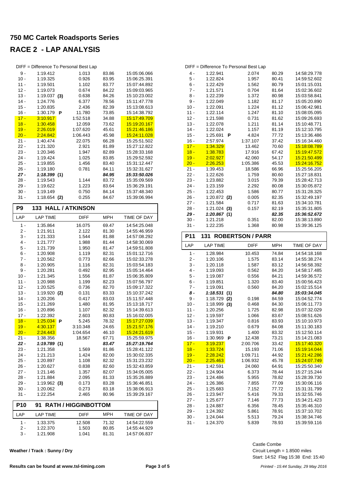#### **RACE 2 - LAP ANALYSIS**

|                  | DIFF = Difference To Personal Best Lap |                            |                |                              |
|------------------|----------------------------------------|----------------------------|----------------|------------------------------|
| 9 -              | 1:19.412                               | 1.013                      | 83.86          | 15:05:06.066                 |
| $10 -$           | 1:19.325                               | 0.926                      | 83.95          | 15:06:25.391                 |
| 11 -             | 1:19.501                               | 1.102                      | 83.77          | 15:07:44.892                 |
| 12 -             | 1:19.073                               | 0.674                      | 84.22          | 15:09:03.965                 |
| $13 -$           | $1:19.037$ (3)                         | 0.638                      | 84.26          | 15:10:23.002                 |
| 14 -             | 1:24.776                               | 6.377                      | 78.56          | 15:11:47.778                 |
| $15 -$           | 1:20.835                               | 2.436                      | 82.39          | 15:13:08.613                 |
| $16 -$           | 1:30.179<br>P                          | 11.780                     | 73.85          | 15:14:38.792                 |
| $17 -$           | 3:10.917                               | 1:52.518                   | 34.88          | 15:17:49.709                 |
| $18 -$           | 1:30.458                               | 12.059                     | 73.62          | <u>15:19:20.167</u>          |
| $19 -$           | 2:26.019                               | 1:07.620                   | 45.61          | 15:21:46.186                 |
| <u> 20 -</u>     | 2:24.842                               | 1:06.443                   | 45.98          | <u>15:24:11.028</u>          |
| 21 -             | 1:40.474                               | 22.075                     | 66.28          | 15:25:51.502                 |
| 22 -             | 1:21.320                               | 2.921                      | 81.89          | 15:27:12.822                 |
| 23 -             | 1:20.346                               | 1.947                      | 82.89          | 15:28:33.168                 |
| 24 -             | 1:19.424                               | 1.025                      | 83.85          | 15:29:52.592                 |
| 25 -             | 1:19.855                               | 1.456                      | 83.40          | 15:31:12.447                 |
| 26 -             | 1:19.180                               | 0.781                      | 84.11          | 15:32:31.627                 |
| 27 -             | 1:18.399 (1)                           |                            | 84.95          | 15:33:50.026                 |
| 28 -             | 1:19.543                               | 1.144                      | 83.72          | 15:35:09.569                 |
| 29 -             | 1:19.622                               | 1.223                      | 83.64          | 15:36:29.191                 |
| 30 -             | 1:19.149                               | 0.750                      | 84.14          | 15:37:48.340                 |
| 31 -             | $1:18.654$ (2)                         | 0.255                      | 84.67          | 15:39:06.994                 |
| P9               | 133                                    | <b>HALL / ATKINSON</b>     |                |                              |
| LAP              | <b>LAP TIME</b>                        | <b>DIFF</b>                | MPH            | <b>TIME OF DAY</b>           |
| 1 -              | 1:35.864                               | 16.075                     | 69.47          | 14:54:25.048                 |
| 2 -              | 1:21.911                               | 2.122                      | 81.30          | 14:55:46.959                 |
| 3 -              | 1:21.333                               | 1.544                      | 81.88          | 14:57:08.292                 |
| 4 -              | 1:21.777                               | 1.988                      | 81.44          | 14:58:30.069                 |
| 5 -              | 1:21.739                               | 1.950                      | 81.47          | 14:59:51.808                 |
| 6 -              | 1:20.908                               | 1.119                      | 82.31          | 15:01:12.716                 |
| $7 -$            | 1:20.562                               | 0.773                      | 82.66          | 15:02:33.278                 |
| 8 -              | 1:20.905                               | 1.116                      | 82.31          | 15:03:54.183                 |
| 9 -              | 1:20.281                               | 0.492                      | 82.95          | 15:05:14.464                 |
| $10 -$           | 1:21.345                               | 1.556                      | 81.87          | 15:06:35.809                 |
| $11 -$           | 1:20.988                               | 1.199                      | 82.23          | 15:07:56.797                 |
| $12 -$           | 1:20.525                               | 0.736                      | 82.70          | 15:09:17.322                 |
| 13 -             | $1:19.920$ (2)                         | 0.131                      | 83.33          | 15:10:37.242                 |
| 14 -             | 1:20.206                               | 0.417                      | 83.03          | 15:11:57.448                 |
| 15 -             | 1:21.269                               | 1.480                      | 81.95          | 15:13:18.717                 |
| $16 -$<br>$17 -$ | 1:20.896                               | 1.107                      | 82.32          | 15:14:39.613<br>15:16:02.005 |
| $18 -$           | 1:22.392<br>1:25.034<br>Р              | 2.603                      | 80.83          | 15:17:27.039                 |
| $19 -$           | 4:30.137                               | 5.245<br>3:10.348          | 78.32<br>24.65 | 15:21:57.176                 |
| $20 -$           | 2:24.443                               | 1:04.654                   | 46.10          | 15:24:21.619                 |
| $21 -$           | 1:38.356                               | 18.567                     | 67.71          | 15:25:59.975                 |
| 22 -             | 1:19.789(1)                            |                            | 83.47          | 15:27:19.764                 |
| 23 -             | 1:21.358                               | 1.569                      | 81.86          | 15:28:41.122                 |
| 24 -             | 1:21.213                               | 1.424                      | 82.00          | 15:30:02.335                 |
| $25 -$           | 1:20.897                               | 1.108                      | 82.32          | 15:31:23.232                 |
| 26 -             | 1:20.627                               | 0.838                      | 82.60          | 15:32:43.859                 |
| 27 -             | 1:21.146                               | 1.357                      | 82.07          | 15:34:05.005                 |
| 28 -             | 1:21.884                               | 2.095                      | 81.33          | 15:35:26.889                 |
| 29 -             | 1:19.962 ( <b>3)</b>                   | 0.173                      | 83.28          | 15:36:46.851                 |
| $30 -$           | 1:20.062                               | 0.273                      | 83.18          | 15:38:06.913                 |
| 31 -             | 1:22.254                               | 2.465                      | 80.96          | 15:39:29.167                 |
| P10              | 91                                     | <b>RATH / HIGGINBOTTOM</b> |                |                              |
| LAP              | <b>LAP TIME</b>                        | DIFF                       | MPH            | TIME OF DAY                  |
|                  |                                        |                            |                |                              |

2 - 1:22.370 1.503 14:55:44.929 80.85 3 - 1:21.908 1.041 14:57:06.837 81.31

|  |  | Weather / Track : Sunny / Dry |  |
|--|--|-------------------------------|--|
|  |  |                               |  |

|        | DIFF = Difference To Personal Best Lap |          |       |              |
|--------|----------------------------------------|----------|-------|--------------|
| 4 -    | 1:22.941                               | 2.074    | 80.29 | 14:58:29.778 |
| $5 -$  | 1:22.824                               | 1.957    | 80.41 | 14:59:52.602 |
| $6 -$  | 1:22.429                               | 1.562    | 80.79 | 15:01:15.031 |
| $7 -$  | 1:21.571                               | 0.704    | 81.64 | 15:02:36.602 |
| $8 -$  | 1:22.239                               | 1.372    | 80.98 | 15:03:58.841 |
| $9 -$  | 1:22.049                               | 1.182    | 81.17 | 15:05:20.890 |
| $10 -$ | 1:22.091                               | 1.224    | 81.12 | 15:06:42.981 |
| $11 -$ | 1:22.114                               | 1.247    | 81.10 | 15:08:05.095 |
| $12 -$ | 1:21.598                               | 0.731    | 81.62 | 15:09:26.693 |
| $13 -$ | 1:22.078                               | 1.211    | 81.14 | 15:10:48.771 |
| $14 -$ | 1:22.024                               | 1.157    | 81.19 | 15:12:10.795 |
| $15 -$ | 1:25.691<br>Р                          | 4.824    | 77.72 | 15:13:36.486 |
| $16 -$ | 2:57.974                               | 1:37.107 | 37.42 | 15:16:34.460 |
| $17 -$ | 1:34.329                               | 13.462   | 70.60 | 15:18:08.789 |
| $18 -$ | 1:38.783                               | 17.916   | 67.42 | 15:19:47.572 |
| $19 -$ | 2:02.927                               | 42.060   | 54.17 | 15.21.50.499 |
| $20 -$ | 2:26.253                               | 1:05.386 | 45.53 | 15.24.16.752 |
| $21 -$ | 1:39.453                               | 18.586   | 66.96 | 15:25:56.205 |
| $22 -$ | 1:22.626                               | 1.759    | 80.60 | 15:27:18.831 |
| $23 -$ | 1:23.882                               | 3.015    | 79.39 | 15.28.42.713 |
| $24 -$ | 1:23.159                               | 2.292    | 80.08 | 15:30:05.872 |
| $25 -$ | 1:22.453                               | 1.586    | 80.77 | 15:31:28.325 |
| $26 -$ | $1:20.872$ (2)                         | 0.005    | 82.35 | 15:32:49.197 |
| $27 -$ | 1:21.584                               | 0.717    | 81.63 | 15:34:10.781 |
| $28 -$ | $1:21.024$ (3)                         | 0.157    | 82.19 | 15:35:31.805 |
| $29 -$ | 1:20.867 (1)                           |          | 82.35 | 15:36:52.672 |
| $30 -$ | 1:21.218                               | 0.351    | 82.00 | 15:38:13.890 |
| $31 -$ | 1:22.235                               | 1.368    | 80.98 | 15:39:36.125 |

| P11    | <b>ROBERTSON/PARR</b><br>131 |             |            |                    |  |
|--------|------------------------------|-------------|------------|--------------------|--|
| LAP    | <b>LAP TIME</b>              | <b>DIFF</b> | <b>MPH</b> | <b>TIME OF DAY</b> |  |
| $1 -$  | 1:28.984                     | 10.453      | 74.84      | 14:54:18.168       |  |
| $2-$   | 1:20.106                     | 1.575       | 83.14      | 14:55:38.274       |  |
| $3 -$  | 1:20.118                     | 1.587       | 83.12      | 14:56:58.392       |  |
| $4 -$  | 1:19.093                     | 0.562       | 84.20      | 14:58:17.485       |  |
| $5 -$  | 1:19.087                     | 0.556       | 84.21      | 14:59:36.572       |  |
| $6 -$  | 1:19.851                     | 1.320       | 83.40      | 15:00:56.423       |  |
| 7 -    | 1:19.091                     | 0.560       | 84.20      | 15:02:15.514       |  |
| $8-$   | 1:18.531<br>(1)              |             | 84.80      | 15:03:34.045       |  |
| 9 -    | 1:18.729<br>(2)              | 0.198       | 84.59      | 15:04:52.774       |  |
| $10 -$ | 1:18.999<br>(3)              | 0.468       | 84.30      | 15:06:11.773       |  |
| $11 -$ | 1:20.256                     | 1.725       | 82.98      | 15:07:32.029       |  |
| $12 -$ | 1:19.597                     | 1.066       | 83.67      | 15:08:51.626       |  |
| $13 -$ | 1:19.347                     | 0.816       | 83.93      | 15:10:10.973       |  |
| $14 -$ | 1:19.210                     | 0.679       | 84.08      | 15:11:30.183       |  |
| $15 -$ | 1:19.931                     | 1.400       | 83.32      | 15:12:50.114       |  |
| $16 -$ | 1:30.969<br>Р                | 12.438      | 73.21      | 15:14:21.083       |  |
| $17 -$ | 3:19.237                     | 2:00.706    | 33.42      | 15:17:40.320       |  |
| $18 -$ | 1:33.724                     | 15.193      | 71.06      | 15:19:14.044       |  |
| $19 -$ | 2:28.242                     | 1:09.711    | 44.92      | 15:21:42.286       |  |
| $20 -$ | 2:25.463                     | 1:06.932    | 45.78      | 15:24:07.749       |  |
| $21 -$ | 1:42.591                     | 24.060      | 64.91      | 15:25:50.340       |  |
| 22 -   | 1:24.904                     | 6.373       | 78.44      | 15:27:15.244       |  |
| $23 -$ | 1:24.486                     | 5.955       | 78.82      | 15:28:39.730       |  |
| 24 -   | 1:26.386                     | 7.855       | 77.09      | 15:30:06.116       |  |
| $25 -$ | 1:25.683                     | 7.152       | 77.72      | 15:31:31.799       |  |
| $26 -$ | 1:23.947                     | 5.416       | 79.33      | 15:32:55.746       |  |
| $27 -$ | 1:25.677                     | 7.146       | 77.73      | 15:34:21.423       |  |
| $28 -$ | 1:24.887                     | 6.356       | 78.45      | 15:35:46.310       |  |
| 29 -   | 1:24.392                     | 5.861       | 78.91      | 15:37:10.702       |  |
| $30 -$ | 1:24.044                     | 5.513       | 79.24      | 15:38:34.746       |  |
| $31 -$ | 1:24.370                     | 5.839       | 78.93      | 15:39:59.116       |  |

Start: 14:52 Flag 15:38 End: 15:40 Circuit Length = 1.8500 miles Castle Combe

#### Results can be found at www.tsl-timing.com **Page 3 of 5 Printed - 15:44 Sunday, 29 May 2016**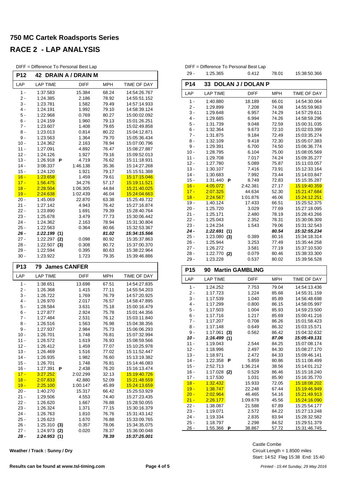#### **750 MC Cartek Roadsports Series RACE 2 - LAP ANALYSIS**

DIFF = Difference To Personal Best Lap

| <b>P12</b>       | 42                   | DRAIN A / DRAIN M   |                |                                     |
|------------------|----------------------|---------------------|----------------|-------------------------------------|
| LAP              | <b>LAP TIME</b>      | <b>DIFF</b>         | <b>MPH</b>     | TIME OF DAY                         |
| 1 -              | 1:37.583             | 15.384              | 68.24          | 14:54:26.767                        |
| 2 -              | 1:24.385             | 2.186               | 78.92          | 14:55:51.152                        |
| 3 -              | 1:23.781             | 1.582               | 79.49          | 14:57:14.933                        |
| 4 -              | 1:24.191             | 1.992               | 79.10          | 14:58:39.124                        |
| 5 -<br>6 -       | 1:22.968<br>1:24.159 | 0.769<br>1.960      | 80.27<br>79.13 | 15:00:02.092<br>15:01:26.251        |
| $7 -$            | 1:23.607             | 1.408               | 79.65          | 15:02:49.858                        |
| 8 -              | 1:23.013             | 0.814               | 80.22          | 15:04:12.871                        |
| 9 -              | 1:23.563             | 1.364               | 79.70          | 15:05:36.434                        |
| $10 -$           | 1:24.362             | 2.163               | 78.94          | 15:07:00.796                        |
| $11 -$           | 1:27.091             | 4.892               | 76.47          | 15:08:27.887                        |
| $12 -$           | 1:24.126             | 1.927               | 79.16          | 15:09:52.013                        |
| $13 -$           | P<br>1:26.918        | 4.719               | 76.62          | 15:11:18.931                        |
| $14 -$           | 3:08.337             | 1:46.138            | 35.36          | 15:14:27.268                        |
| $15 -$           | 1:24.120             | 1.921               | 79.17          | 15:15:51.388                        |
| $16 -$           | 1:23.658             | 1.459               | 79.61          | 15.17:15.046                        |
| $17 -$<br>$18 -$ | 1:56.475<br>2:28.504 | 34.276<br>1:06.305  | 57.17          | <u>15:19:11.521</u><br>15:21:40.025 |
| $19 -$           | 2:24.638             | 1:02.439            | 44.84<br>46.04 | 15.24:04.663                        |
| 20 -             | 1:45.069             | 22.870              | 63.38          | 15:25:49.732                        |
| 21 -             | 1:27.142             | 4.943               | 76.42          | 15:27:16.874                        |
| 22 -             | 1:23.890             | 1.691               | 79.39          | 15:28:40.764                        |
| 23 -             | 1:25.678             | 3.479               | 77.73          | 15:30:06.442                        |
| 24 -             | 1:24.362             | 2.163               | 78.94          | 15:31:30.804                        |
| $25 -$           | 1:22.563             | 0.364               | 80.66          | 15:32:53.367                        |
| 26 -             | 1:22.199<br>(1)      |                     | 81.02          | 15:34:15.566                        |
| 27 -             | 1:22.297<br>(2)      | 0.098               | 80.92          | 15:35:37.863                        |
| $28 -$           | 1:22.507<br>(3)      | 0.308               | 80.72          | 15:37:00.370                        |
| 29 -             | 1:22.594             | 0.395               | 80.63          | 15:38:22.964                        |
| 30 -             | 1:23.922             | 1.723               | 79.35          | 15:39:46.886                        |
| P13              | 79                   | <b>James CANFER</b> |                |                                     |
| LAP              | <b>LAP TIME</b>      | <b>DIFF</b>         | <b>MPH</b>     | TIME OF DAY                         |
| $1 -$            | 1:38.651             | 13.698              | 67.51          | 14:54:27.835                        |
| 2 -              | 1:26.368             | 1.415               | 77.11          | 14:55:54.203                        |
| 3 -              | 1:26.722             | 1.769               | 76.79          | 14:57:20.925                        |
| 4 -<br>5 -       | 1:26.970<br>1:28.584 | 2.017               | 76.57          | 14:58:47.895                        |
| 6 -              | 1:27.877             | 3.631<br>2.924      | 75.18<br>75.78 | 15:00:16.479<br>15:01:44.356        |
| $7 -$            | 1:27.484             | 2.531               | 76.12          | 15:03:11.840                        |
| 8 -              | 1:26.516             | 1.563               | 76.98          | 15:04:38.356                        |
| 9 -              | 1:27.937             | 2.984               | 75.73          | 15:06:06.293                        |
| $10 -$           | 1:26.701             | 1.748               | 76.81          | 15:07:32.994                        |
| $11 -$           | 1:26.572             | 1.619               | 76.93          | 15:08:59.566                        |
| 12 -             | 1:26.412             | 1.459               | 77.07          | 15:10:25.978                        |
| $13 -$           | 1:26.469             | 1.516               | 77.02          | 15:11:52.447                        |
| 14 -             | 1:26.935             | 1.982               | 76.60          | 15:13:19.382                        |
| $15 -$           | 1:26.701             | 1.748               | 76.81          | 15:14:46.083                        |
| $16 -$           | 1:27.391<br>Ρ        | 2.438               | 76.20          | 15:16:13.474                        |
| $17 -$           | 3:27.252             | 2:02.299            | 32.13          | 15:19:40.726                        |
| $18 -$           | 2:07.833             | 42.880              | 52.09          | 15:21:48.559                        |
| $19 -$<br>20 -   | 2:25.100<br>1:40.270 | 1:00.147<br>15.317  | 45.89          | <u>15:24:13.659</u><br>15:25:53.929 |
| 21 -             | 1:29.506             | 4.553               | 66.42<br>74.40 | 15:27:23.435                        |
| $22 -$           | 1:26.620             | 1.667               | 76.88          | 15:28:50.055                        |
| $23 -$           | 1:26.324             | 1.371               | 77.15          | 15:30:16.379                        |
| 24 -             | 1:26.763             | 1.810               | 76.76          | 15:31:43.142                        |
| 25 -             | 1:26.623             | 1.670               | 76.88          | 15:33:09.765                        |
| 26 -             | $1:25.310$ (3)       | 0.357               | 78.06          | 15:34:35.075                        |
| 27 -             | 1:24.973<br>(2)      | 0.020               | 78.37          | 15:36:00.048                        |
| 28 -             | 1:24.953(1)          |                     | 78.39          | 15:37:25.001                        |

| Weather / Track: Sunny / Dry |  |
|------------------------------|--|
|------------------------------|--|

|                  | DIFF = Difference To Personal Best Lap |                        |                |                              |  |
|------------------|----------------------------------------|------------------------|----------------|------------------------------|--|
| $29 -$           | 1:25.365                               | 0.412                  | 78.01          | 15:38:50.366                 |  |
| P14              | 33                                     | <b>DOLAN J/DOLAN P</b> |                |                              |  |
| LAP              | <b>LAP TIME</b>                        | <b>DIFF</b>            | <b>MPH</b>     | TIME OF DAY                  |  |
| $1 -$            | 1:40.880                               | 18.189                 | 66.01          | 14:54:30.064                 |  |
| 2 -              | 1:29.899                               | 7.208                  | 74.08          | 14:55:59.963                 |  |
| 3 -              | 1:29.648                               | 6.957                  | 74.29          | 14:57:29.611                 |  |
| $4 -$            | 1:29.685                               | 6.994                  | 74.26          | 14:58:59.296                 |  |
| 5 -              | 1:31.739                               | 9.048                  | 72.59          | 15:00:31.035                 |  |
| 6 -              | 1:32.364                               | 9.673                  | 72.10          | 15:02:03.399                 |  |
| 7 -              | 1:31.875                               | 9.184                  | 72.49          | 15:03:35.274                 |  |
| 8 -              | 1:32.109                               | 9.418                  | 72.30          | 15:05:07.383                 |  |
| 9 -<br>$10 -$    | 1:29.391<br>1:28.795                   | 6.700<br>6.104         | 74.50<br>75.00 | 15:06:36.774<br>15:08:05.569 |  |
| 11 -             | 1:29.708                               | 7.017                  | 74.24          | 15:09:35.277                 |  |
| $12 -$           | 1:27.780                               | 5.089                  | 75.87          | 15:11:03.057                 |  |
| $13 -$           | 1:30.107                               | 7.416                  | 73.91          | 15:12:33.164                 |  |
| $14 -$           | 1:30.683                               | 7.992                  | 73.44          | 15:14:03.847                 |  |
| $15 -$           | 1:31.440<br>Р                          | 8.749                  | 72.83          | 15:15:35.287                 |  |
| $16 -$           | 4:05.072                               | 2:42.381               | 27.17          | 15:19:40.359                 |  |
| $17 -$           | 2:07.325                               | 44.634                 | 52.30          | 15:21:47.684                 |  |
| $18 -$           | 2:24.567                               | 1:01.876               | 46.06          | <u>15:24:12.251</u>          |  |
| 19 -             | 1:40.124                               | 17.433                 | 66.51          | 15:25:52.375                 |  |
| $20 -$           | 1:25.720                               | 3.029                  | 77.69          | 15:27:18.095                 |  |
| $21 -$           | 1:25.171                               | 2.480                  | 78.19          | 15:28:43.266                 |  |
| $22 -$           | 1:25.043                               | 2.352                  | 78.31          | 15:30:08.309                 |  |
| $23 -$           | 1:24.234                               | 1.543                  | 79.06          | 15:31:32.543                 |  |
| 24 -<br>$25 -$   | 1:22.691<br>(1)<br>1:23.080            |                        | 80.54<br>80.16 | 15:32:55.234<br>15:34:18.314 |  |
| $26 -$           | (3)<br>1:25.944                        | 0.389<br>3.253         | 77.49          | 15:35:44.258                 |  |
| $27 -$           | 1:26.272                               | 3.581                  | 77.19          | 15:37:10.530                 |  |
| 28 -             | 1:22.770 (2)                           | 0.079                  | 80.46          | 15:38:33.300                 |  |
| $29 -$           | 1:23.228                               | 0.537                  | 80.02          | 15:39:56.528                 |  |
| <b>P15</b>       | 90                                     | <b>Martin GAMBLING</b> |                |                              |  |
| LAP              | <b>LAP TIME</b>                        | DIFF                   | MPH            | TIME OF DAY                  |  |
| 1 -              | 1:24.252                               | 7.753                  | 79.04          | 14:54:13.436                 |  |
| 2 -              | 1:17.723                               | 1.224                  | 85.68          | 14:55:31.159                 |  |
| 3 -              | 1:17.539                               | 1.040                  | 85.89          | 14:56:48.698                 |  |
| 4 -              | 1:17.299                               | 0.800                  | 86.15          | 14:58:05.997                 |  |
| 5 -              | 1:17.503                               | 1.004                  | 85.93          | 14:59:23.500                 |  |
| 6 -              | 1:17.716                               | 1.217                  | 85.69          | 15:00:41.216<br>15:01:58.423 |  |
| $7 -$<br>$8 -$   | 1:17.207                               | 0.708                  |                |                              |  |
|                  |                                        |                        | 86.26          |                              |  |
|                  | 1:17.148                               | 0.649                  | 86.32          | 15:03:15.571                 |  |
| $9 -$            | 1:17.061<br>(3)                        | 0.562                  | 86.42          | 15:04:32.632                 |  |
| 10 -             | 1:16.499(1)                            |                        | 87.06          | 15:05:49.131                 |  |
| 11 -<br>$12 -$   | 1:19.043<br>1:18.996                   | 2.544<br>2.497         | 84.25<br>84.30 | 15:07:08.174<br>15:08:27.170 |  |
| $13 -$           | 1:18.971                               | 2.472                  | 84.33          | 15:09:46.141                 |  |
| $14 -$           | 1:22.358<br>Р                          | 5.859                  | 80.86          | 15:11:08.499                 |  |
| $15 -$           | 2:52.713                               | 1:36.214               | 38.56          | 15:14:01.212                 |  |
| $16 -$           | $1:17.028$ (2)                         | 0.529                  | 86.46          | 15:15:18.240                 |  |
| $17 -$           | 1:17.530                               | 1.031                  | 85.90          | 15:16:35.770                 |  |
| $18 -$           | 1:32.432                               | 15.933                 | 72.05          | 15:18:08.202                 |  |
| $19 -$           | <u>1:38.747</u>                        | 22.248                 | 67.44          | 15:19:46.949                 |  |
| $20 -$           | 2:02.964                               | 46.465                 | 54.16          | 15:21:49.913                 |  |
| $21 -$           | 2:26.177                               | 1:09.678               | 45.56          | 15:24:16.090                 |  |
| $22 -$           | 1:38.087                               | 21.588                 | 67.89          | 15:25:54.177                 |  |
| $23 -$           | 1:19.071                               | 2.572                  | 84.22          | 15:27:13.248                 |  |
| $24 -$<br>$25 -$ | 1:19.334<br>1:18.797                   | 2.835<br>2.298         | 83.94<br>84.52 | 15:28:32.582<br>15:29:51.379 |  |